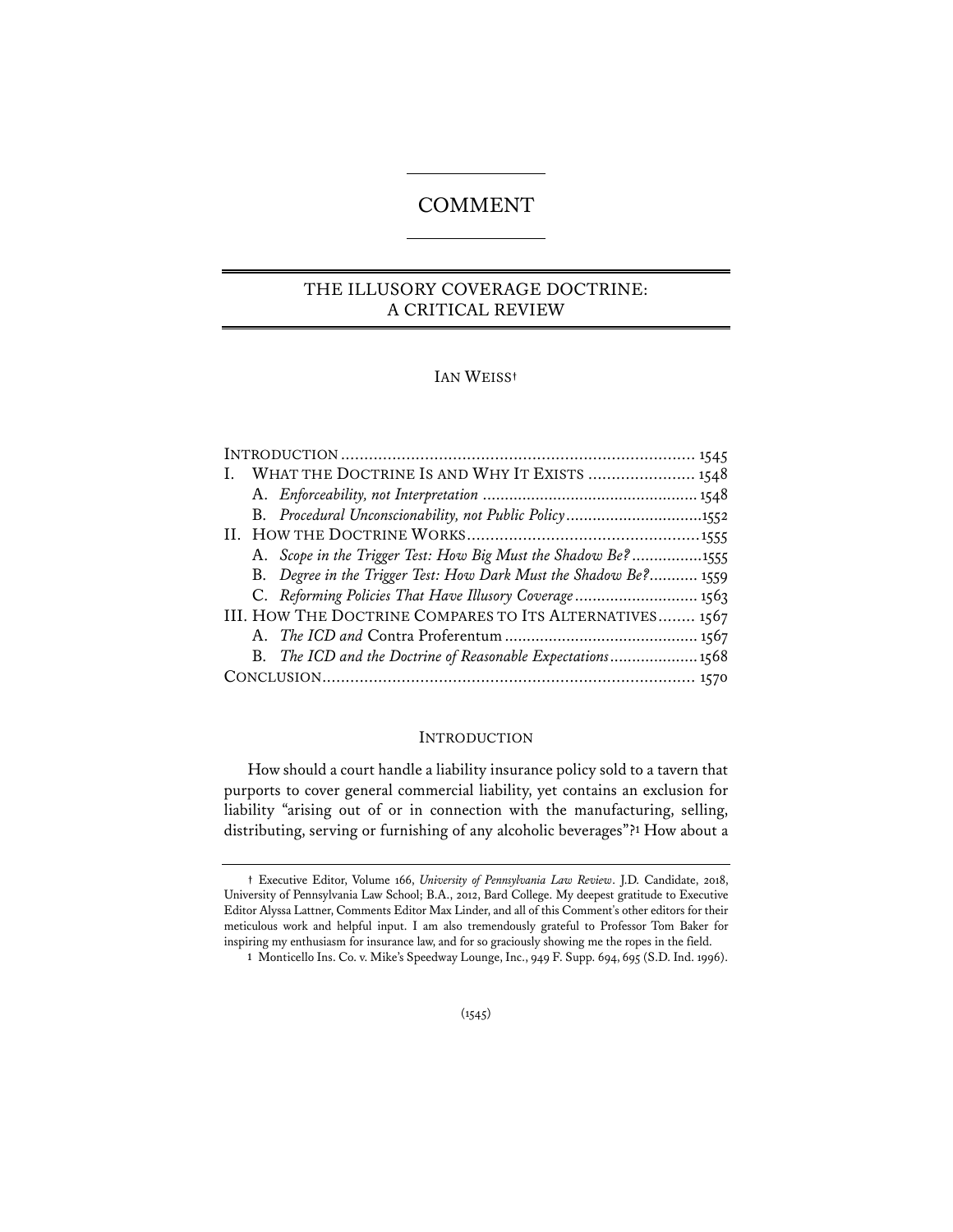# **COMMENT**

# THE ILLUSORY COVERAGE DOCTRINE: A CRITICAL REVIEW

# IAN WEISS**†**

|  | I. WHAT THE DOCTRINE IS AND WHY IT EXISTS  1548                  |  |
|--|------------------------------------------------------------------|--|
|  |                                                                  |  |
|  | B. Procedural Unconscionability, not Public Policy1552           |  |
|  |                                                                  |  |
|  | A. Scope in the Trigger Test: How Big Must the Shadow Be?1555    |  |
|  | B. Degree in the Trigger Test: How Dark Must the Shadow Be? 1559 |  |
|  | C. Reforming Policies That Have Illusory Coverage 1563           |  |
|  | III. HOW THE DOCTRINE COMPARES TO ITS ALTERNATIVES 1567          |  |
|  |                                                                  |  |
|  | B. The ICD and the Doctrine of Reasonable Expectations1568       |  |
|  |                                                                  |  |

## INTRODUCTION

How should a court handle a liability insurance policy sold to a tavern that purports to cover general commercial liability, yet contains an exclusion for liability "arising out of or in connection with the manufacturing, selling, distributing, serving or furnishing of any alcoholic beverages"?**<sup>1</sup>** How about a

**<sup>†</sup>** Executive Editor, Volume 166, *University of Pennsylvania Law Review*. J.D. Candidate, 2018, University of Pennsylvania Law School; B.A., 2012, Bard College. My deepest gratitude to Executive Editor Alyssa Lattner, Comments Editor Max Linder, and all of this Comment's other editors for their meticulous work and helpful input. I am also tremendously grateful to Professor Tom Baker for inspiring my enthusiasm for insurance law, and for so graciously showing me the ropes in the field.

**<sup>1</sup>** Monticello Ins. Co. v. Mike's Speedway Lounge, Inc., 949 F. Supp. 694, 695 (S.D. Ind. 1996).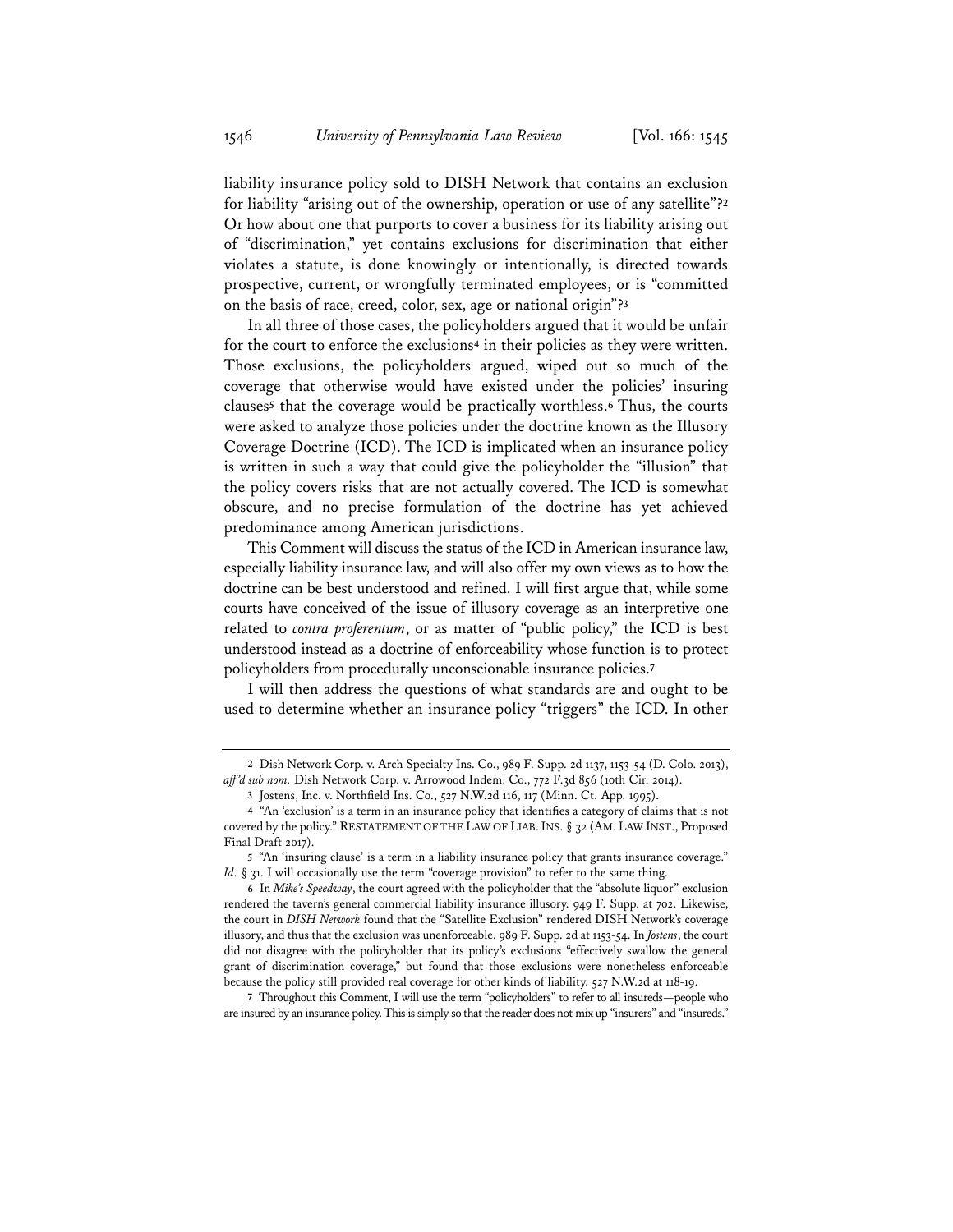liability insurance policy sold to DISH Network that contains an exclusion for liability "arising out of the ownership, operation or use of any satellite"?**<sup>2</sup>** Or how about one that purports to cover a business for its liability arising out of "discrimination," yet contains exclusions for discrimination that either violates a statute, is done knowingly or intentionally, is directed towards prospective, current, or wrongfully terminated employees, or is "committed on the basis of race, creed, color, sex, age or national origin"?**<sup>3</sup>**

In all three of those cases, the policyholders argued that it would be unfair for the court to enforce the exclusions**<sup>4</sup>** in their policies as they were written. Those exclusions, the policyholders argued, wiped out so much of the coverage that otherwise would have existed under the policies' insuring clauses**<sup>5</sup>** that the coverage would be practically worthless.**<sup>6</sup>** Thus, the courts were asked to analyze those policies under the doctrine known as the Illusory Coverage Doctrine (ICD). The ICD is implicated when an insurance policy is written in such a way that could give the policyholder the "illusion" that the policy covers risks that are not actually covered. The ICD is somewhat obscure, and no precise formulation of the doctrine has yet achieved predominance among American jurisdictions.

This Comment will discuss the status of the ICD in American insurance law, especially liability insurance law, and will also offer my own views as to how the doctrine can be best understood and refined. I will first argue that, while some courts have conceived of the issue of illusory coverage as an interpretive one related to *contra proferentum*, or as matter of "public policy," the ICD is best understood instead as a doctrine of enforceability whose function is to protect policyholders from procedurally unconscionable insurance policies.**<sup>7</sup>**

I will then address the questions of what standards are and ought to be used to determine whether an insurance policy "triggers" the ICD. In other

**7** Throughout this Comment, I will use the term "policyholders" to refer to all insureds—people who are insured by an insurance policy. This is simply so that the reader does not mix up "insurers" and "insureds."

**<sup>2</sup>** Dish Network Corp. v. Arch Specialty Ins. Co., 989 F. Supp. 2d 1137, 1153-54 (D. Colo. 2013), *aff 'd sub nom.* Dish Network Corp. v. Arrowood Indem. Co., 772 F.3d 856 (10th Cir. 2014).

**<sup>3</sup>** Jostens, Inc. v. Northfield Ins. Co., 527 N.W.2d 116, 117 (Minn. Ct. App. 1995).

**<sup>4</sup>** "An 'exclusion' is a term in an insurance policy that identifies a category of claims that is not covered by the policy." RESTATEMENT OF THE LAW OF LIAB.INS. § 32 (AM. LAW INST., Proposed Final Draft 2017).

**<sup>5</sup>** "An 'insuring clause' is a term in a liability insurance policy that grants insurance coverage." *Id.* § 31. I will occasionally use the term "coverage provision" to refer to the same thing.

**<sup>6</sup>** In *Mike's Speedway*, the court agreed with the policyholder that the "absolute liquor" exclusion rendered the tavern's general commercial liability insurance illusory. 949 F. Supp. at 702. Likewise, the court in *DISH Network* found that the "Satellite Exclusion" rendered DISH Network's coverage illusory, and thus that the exclusion was unenforceable. 989 F. Supp. 2d at 1153-54. In *Jostens*, the court did not disagree with the policyholder that its policy's exclusions "effectively swallow the general grant of discrimination coverage," but found that those exclusions were nonetheless enforceable because the policy still provided real coverage for other kinds of liability. 527 N.W.2d at 118-19.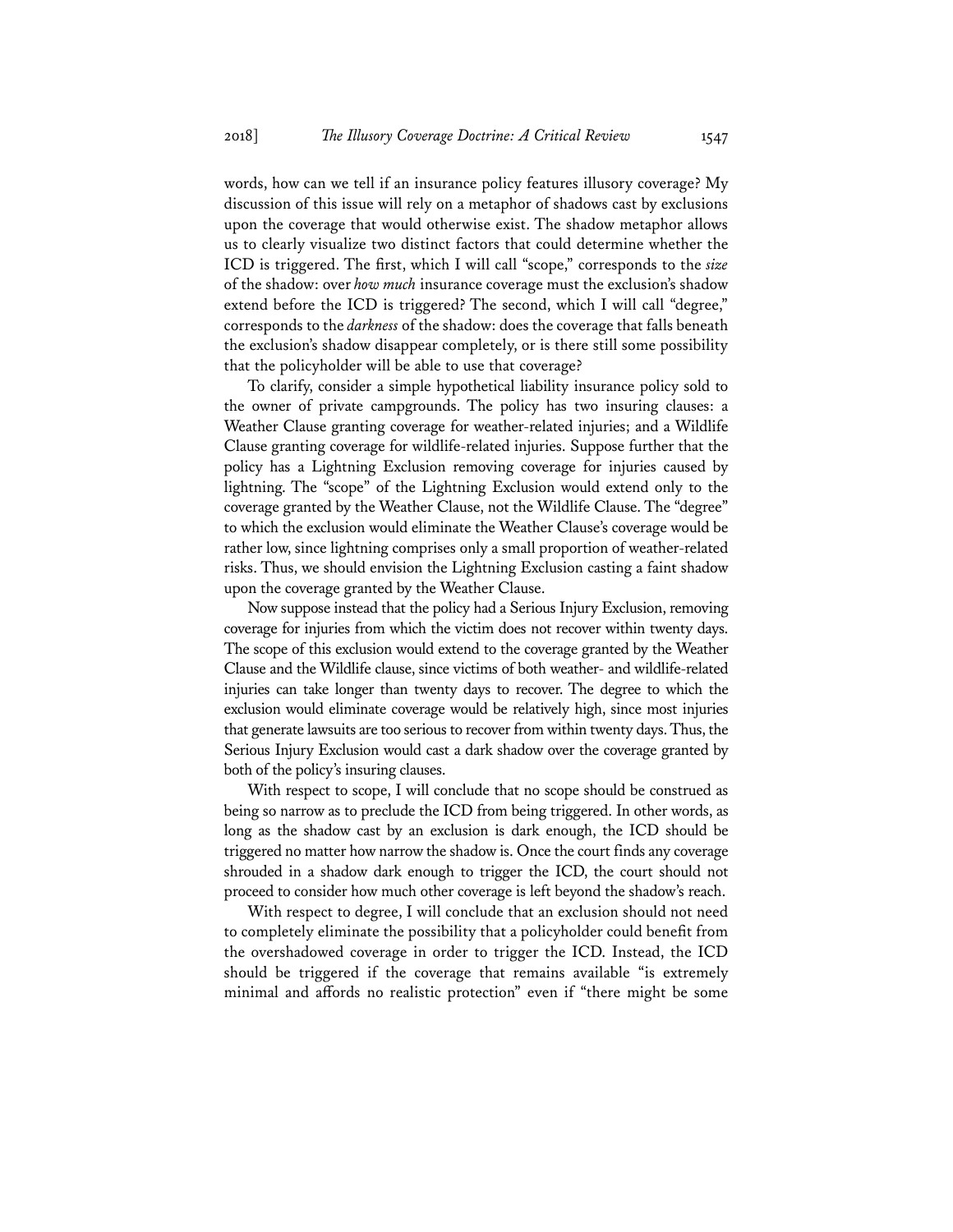words, how can we tell if an insurance policy features illusory coverage? My discussion of this issue will rely on a metaphor of shadows cast by exclusions upon the coverage that would otherwise exist. The shadow metaphor allows us to clearly visualize two distinct factors that could determine whether the ICD is triggered. The first, which I will call "scope," corresponds to the *size*  of the shadow: over *how much* insurance coverage must the exclusion's shadow extend before the ICD is triggered? The second, which I will call "degree," corresponds to the *darkness* of the shadow: does the coverage that falls beneath the exclusion's shadow disappear completely, or is there still some possibility that the policyholder will be able to use that coverage?

To clarify, consider a simple hypothetical liability insurance policy sold to the owner of private campgrounds. The policy has two insuring clauses: a Weather Clause granting coverage for weather-related injuries; and a Wildlife Clause granting coverage for wildlife-related injuries. Suppose further that the policy has a Lightning Exclusion removing coverage for injuries caused by lightning. The "scope" of the Lightning Exclusion would extend only to the coverage granted by the Weather Clause, not the Wildlife Clause. The "degree" to which the exclusion would eliminate the Weather Clause's coverage would be rather low, since lightning comprises only a small proportion of weather-related risks. Thus, we should envision the Lightning Exclusion casting a faint shadow upon the coverage granted by the Weather Clause.

Now suppose instead that the policy had a Serious Injury Exclusion, removing coverage for injuries from which the victim does not recover within twenty days. The scope of this exclusion would extend to the coverage granted by the Weather Clause and the Wildlife clause, since victims of both weather- and wildlife-related injuries can take longer than twenty days to recover. The degree to which the exclusion would eliminate coverage would be relatively high, since most injuries that generate lawsuits are too serious to recover from within twenty days. Thus, the Serious Injury Exclusion would cast a dark shadow over the coverage granted by both of the policy's insuring clauses.

With respect to scope, I will conclude that no scope should be construed as being so narrow as to preclude the ICD from being triggered. In other words, as long as the shadow cast by an exclusion is dark enough, the ICD should be triggered no matter how narrow the shadow is. Once the court finds any coverage shrouded in a shadow dark enough to trigger the ICD, the court should not proceed to consider how much other coverage is left beyond the shadow's reach.

With respect to degree, I will conclude that an exclusion should not need to completely eliminate the possibility that a policyholder could benefit from the overshadowed coverage in order to trigger the ICD. Instead, the ICD should be triggered if the coverage that remains available "is extremely minimal and affords no realistic protection" even if "there might be some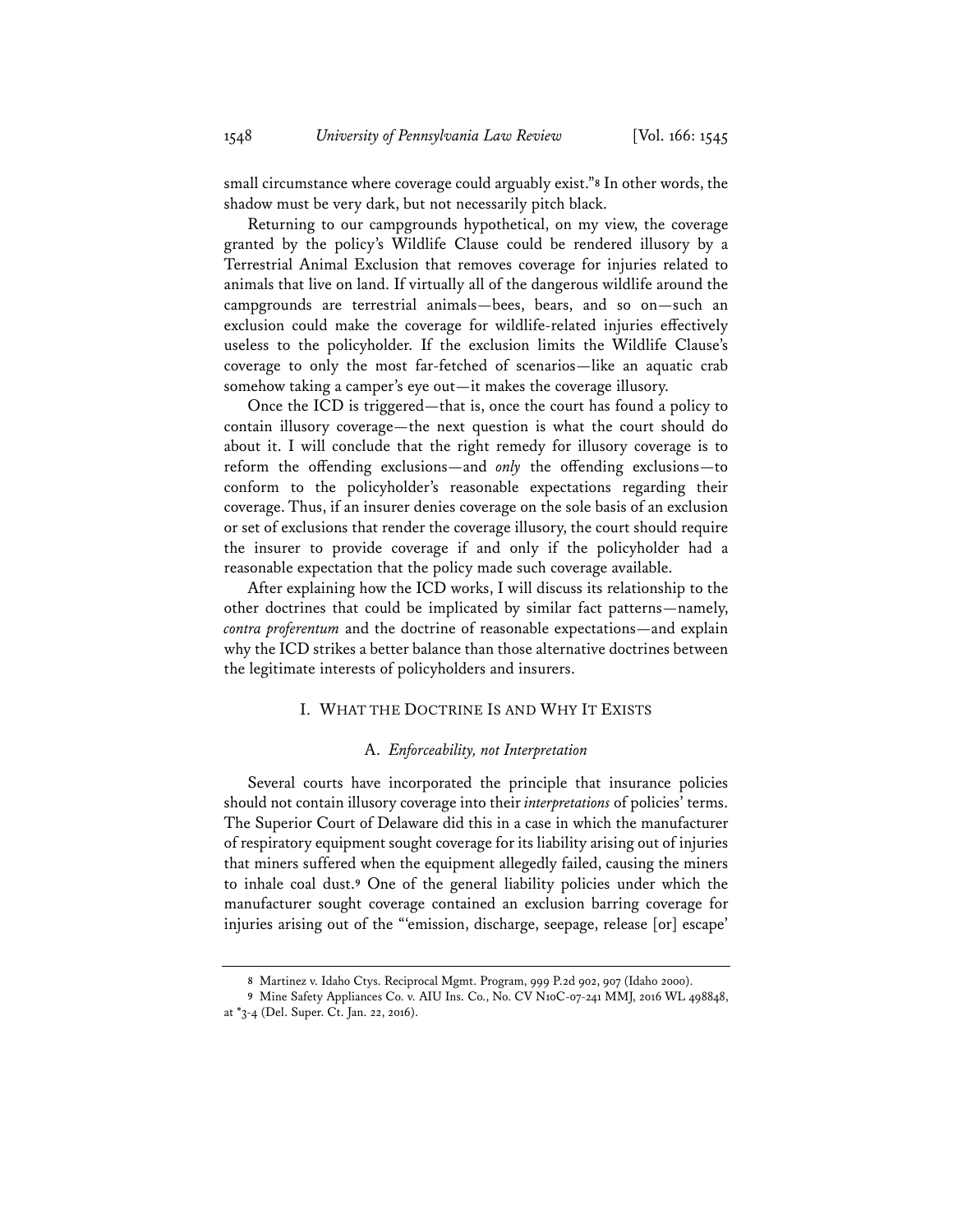small circumstance where coverage could arguably exist."**<sup>8</sup>** In other words, the shadow must be very dark, but not necessarily pitch black.

Returning to our campgrounds hypothetical, on my view, the coverage granted by the policy's Wildlife Clause could be rendered illusory by a Terrestrial Animal Exclusion that removes coverage for injuries related to animals that live on land. If virtually all of the dangerous wildlife around the campgrounds are terrestrial animals—bees, bears, and so on—such an exclusion could make the coverage for wildlife-related injuries effectively useless to the policyholder. If the exclusion limits the Wildlife Clause's coverage to only the most far-fetched of scenarios—like an aquatic crab somehow taking a camper's eye out—it makes the coverage illusory.

Once the ICD is triggered—that is, once the court has found a policy to contain illusory coverage—the next question is what the court should do about it. I will conclude that the right remedy for illusory coverage is to reform the offending exclusions—and *only* the offending exclusions—to conform to the policyholder's reasonable expectations regarding their coverage. Thus, if an insurer denies coverage on the sole basis of an exclusion or set of exclusions that render the coverage illusory, the court should require the insurer to provide coverage if and only if the policyholder had a reasonable expectation that the policy made such coverage available.

After explaining how the ICD works, I will discuss its relationship to the other doctrines that could be implicated by similar fact patterns—namely, *contra proferentum* and the doctrine of reasonable expectations—and explain why the ICD strikes a better balance than those alternative doctrines between the legitimate interests of policyholders and insurers.

#### I. WHAT THE DOCTRINE IS AND WHY IT EXISTS

#### A. *Enforceability, not Interpretation*

Several courts have incorporated the principle that insurance policies should not contain illusory coverage into their *interpretations* of policies' terms. The Superior Court of Delaware did this in a case in which the manufacturer of respiratory equipment sought coverage for its liability arising out of injuries that miners suffered when the equipment allegedly failed, causing the miners to inhale coal dust.**<sup>9</sup>** One of the general liability policies under which the manufacturer sought coverage contained an exclusion barring coverage for injuries arising out of the "'emission, discharge, seepage, release [or] escape'

**<sup>8</sup>** Martinez v. Idaho Ctys. Reciprocal Mgmt. Program, 999 P.2d 902, 907 (Idaho 2000).

**<sup>9</sup>** Mine Safety Appliances Co. v. AIU Ins. Co., No. CV N10C-07-241 MMJ, 2016 WL 498848, at \*3-4 (Del. Super. Ct. Jan. 22, 2016).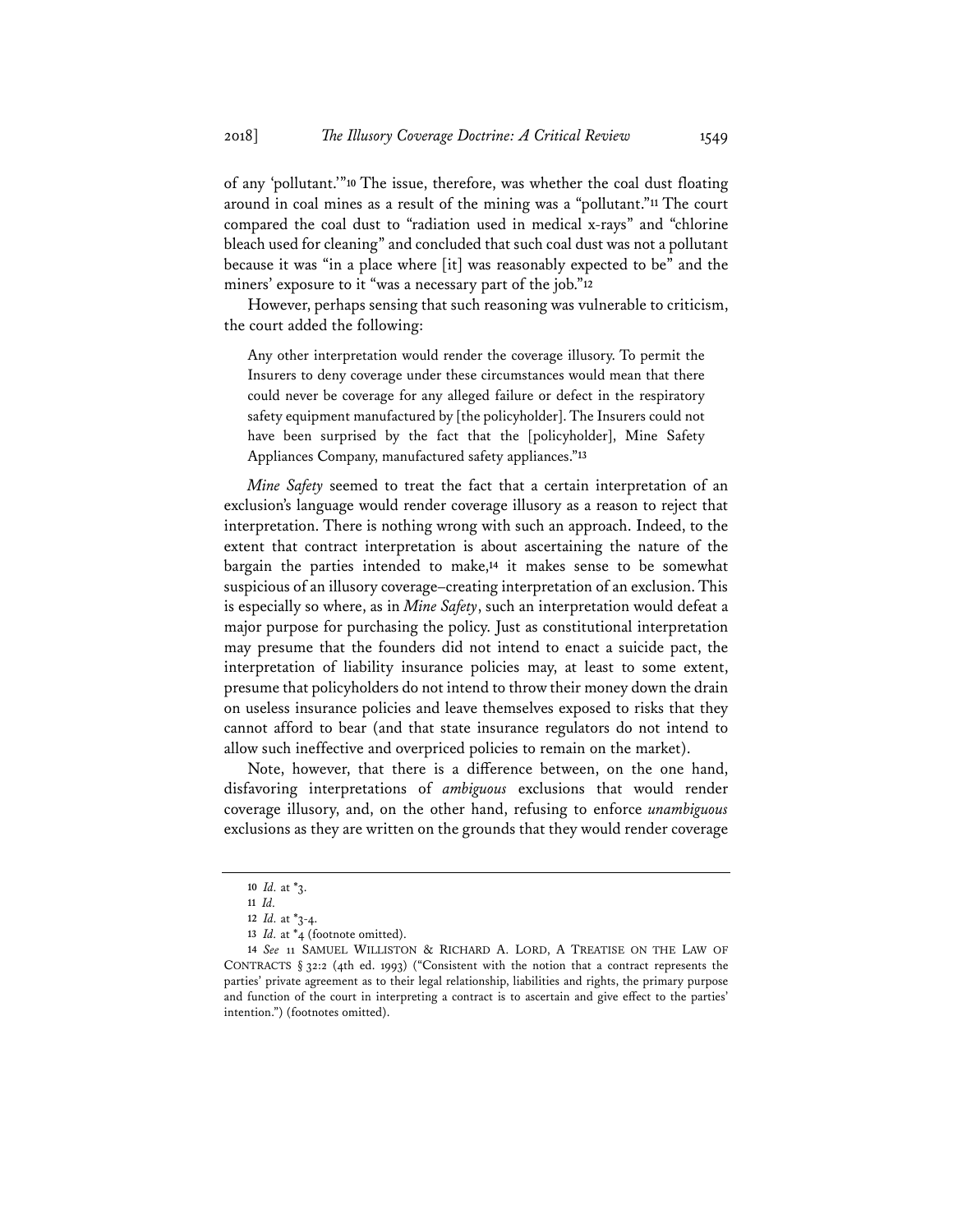of any 'pollutant.'"**<sup>10</sup>** The issue, therefore, was whether the coal dust floating around in coal mines as a result of the mining was a "pollutant."**<sup>11</sup>** The court compared the coal dust to "radiation used in medical x-rays" and "chlorine bleach used for cleaning" and concluded that such coal dust was not a pollutant because it was "in a place where [it] was reasonably expected to be" and the miners' exposure to it "was a necessary part of the job."**<sup>12</sup>**

However, perhaps sensing that such reasoning was vulnerable to criticism, the court added the following:

Any other interpretation would render the coverage illusory. To permit the Insurers to deny coverage under these circumstances would mean that there could never be coverage for any alleged failure or defect in the respiratory safety equipment manufactured by [the policyholder]. The Insurers could not have been surprised by the fact that the [policyholder], Mine Safety Appliances Company, manufactured safety appliances."**<sup>13</sup>**

*Mine Safety* seemed to treat the fact that a certain interpretation of an exclusion's language would render coverage illusory as a reason to reject that interpretation. There is nothing wrong with such an approach. Indeed, to the extent that contract interpretation is about ascertaining the nature of the bargain the parties intended to make,**<sup>14</sup>** it makes sense to be somewhat suspicious of an illusory coverage–creating interpretation of an exclusion. This is especially so where, as in *Mine Safety*, such an interpretation would defeat a major purpose for purchasing the policy. Just as constitutional interpretation may presume that the founders did not intend to enact a suicide pact, the interpretation of liability insurance policies may, at least to some extent, presume that policyholders do not intend to throw their money down the drain on useless insurance policies and leave themselves exposed to risks that they cannot afford to bear (and that state insurance regulators do not intend to allow such ineffective and overpriced policies to remain on the market).

Note, however, that there is a difference between, on the one hand, disfavoring interpretations of *ambiguous* exclusions that would render coverage illusory, and, on the other hand, refusing to enforce *unambiguous* exclusions as they are written on the grounds that they would render coverage

**<sup>10</sup>** *Id.* at \*3.

**<sup>11</sup>** *Id.*

**<sup>12</sup>** *Id.* at \*3-4.

**<sup>13</sup>** *Id.* at \*4 (footnote omitted).

**<sup>14</sup>** *See* 11 SAMUEL WILLISTON & RICHARD A. LORD, A TREATISE ON THE LAW OF CONTRACTS § 32:2 (4th ed. 1993) ("Consistent with the notion that a contract represents the parties' private agreement as to their legal relationship, liabilities and rights, the primary purpose and function of the court in interpreting a contract is to ascertain and give effect to the parties' intention.") (footnotes omitted).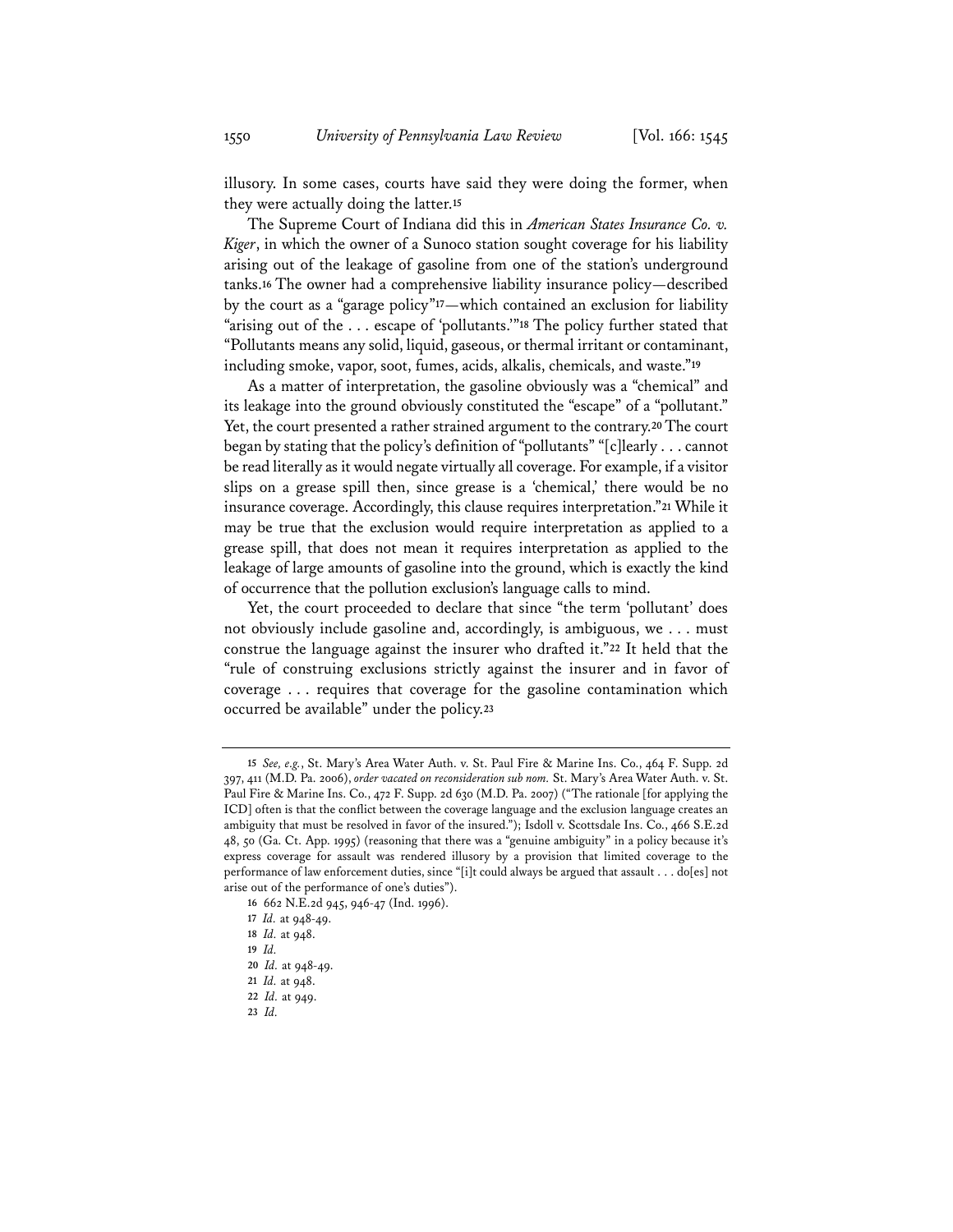illusory. In some cases, courts have said they were doing the former, when they were actually doing the latter.**<sup>15</sup>**

The Supreme Court of Indiana did this in *American States Insurance Co. v. Kiger*, in which the owner of a Sunoco station sought coverage for his liability arising out of the leakage of gasoline from one of the station's underground tanks.**<sup>16</sup>** The owner had a comprehensive liability insurance policy—described by the court as a "garage policy"**<sup>17</sup>**—which contained an exclusion for liability "arising out of the . . . escape of 'pollutants.'"**<sup>18</sup>** The policy further stated that "Pollutants means any solid, liquid, gaseous, or thermal irritant or contaminant, including smoke, vapor, soot, fumes, acids, alkalis, chemicals, and waste."**<sup>19</sup>**

As a matter of interpretation, the gasoline obviously was a "chemical" and its leakage into the ground obviously constituted the "escape" of a "pollutant." Yet, the court presented a rather strained argument to the contrary.**<sup>20</sup>** The court began by stating that the policy's definition of "pollutants" "[c]learly . . . cannot be read literally as it would negate virtually all coverage. For example, if a visitor slips on a grease spill then, since grease is a 'chemical,' there would be no insurance coverage. Accordingly, this clause requires interpretation."**<sup>21</sup>** While it may be true that the exclusion would require interpretation as applied to a grease spill, that does not mean it requires interpretation as applied to the leakage of large amounts of gasoline into the ground, which is exactly the kind of occurrence that the pollution exclusion's language calls to mind.

Yet, the court proceeded to declare that since "the term 'pollutant' does not obviously include gasoline and, accordingly, is ambiguous, we . . . must construe the language against the insurer who drafted it."**<sup>22</sup>** It held that the "rule of construing exclusions strictly against the insurer and in favor of coverage . . . requires that coverage for the gasoline contamination which occurred be available" under the policy.**<sup>23</sup>**

**19** *Id.*

**<sup>15</sup>** *See, e.g.*, St. Mary's Area Water Auth. v. St. Paul Fire & Marine Ins. Co., 464 F. Supp. 2d 397, 411 (M.D. Pa. 2006), *order vacated on reconsideration sub nom.* St. Mary's Area Water Auth. v. St. Paul Fire & Marine Ins. Co., 472 F. Supp. 2d 630 (M.D. Pa. 2007) ("The rationale [for applying the ICD] often is that the conflict between the coverage language and the exclusion language creates an ambiguity that must be resolved in favor of the insured."); Isdoll v. Scottsdale Ins. Co., 466 S.E.2d 48, 50 (Ga. Ct. App. 1995) (reasoning that there was a "genuine ambiguity" in a policy because it's express coverage for assault was rendered illusory by a provision that limited coverage to the performance of law enforcement duties, since "[i]t could always be argued that assault . . . do[es] not arise out of the performance of one's duties").

**<sup>16</sup>** 662 N.E.2d 945, 946-47 (Ind. 1996).

**<sup>17</sup>** *Id.* at 948-49.

**<sup>18</sup>** *Id.* at 948.

**<sup>20</sup>** *Id.* at 948-49.

**<sup>21</sup>** *Id.* at 948.

**<sup>22</sup>** *Id.* at 949.

**<sup>23</sup>** *Id.*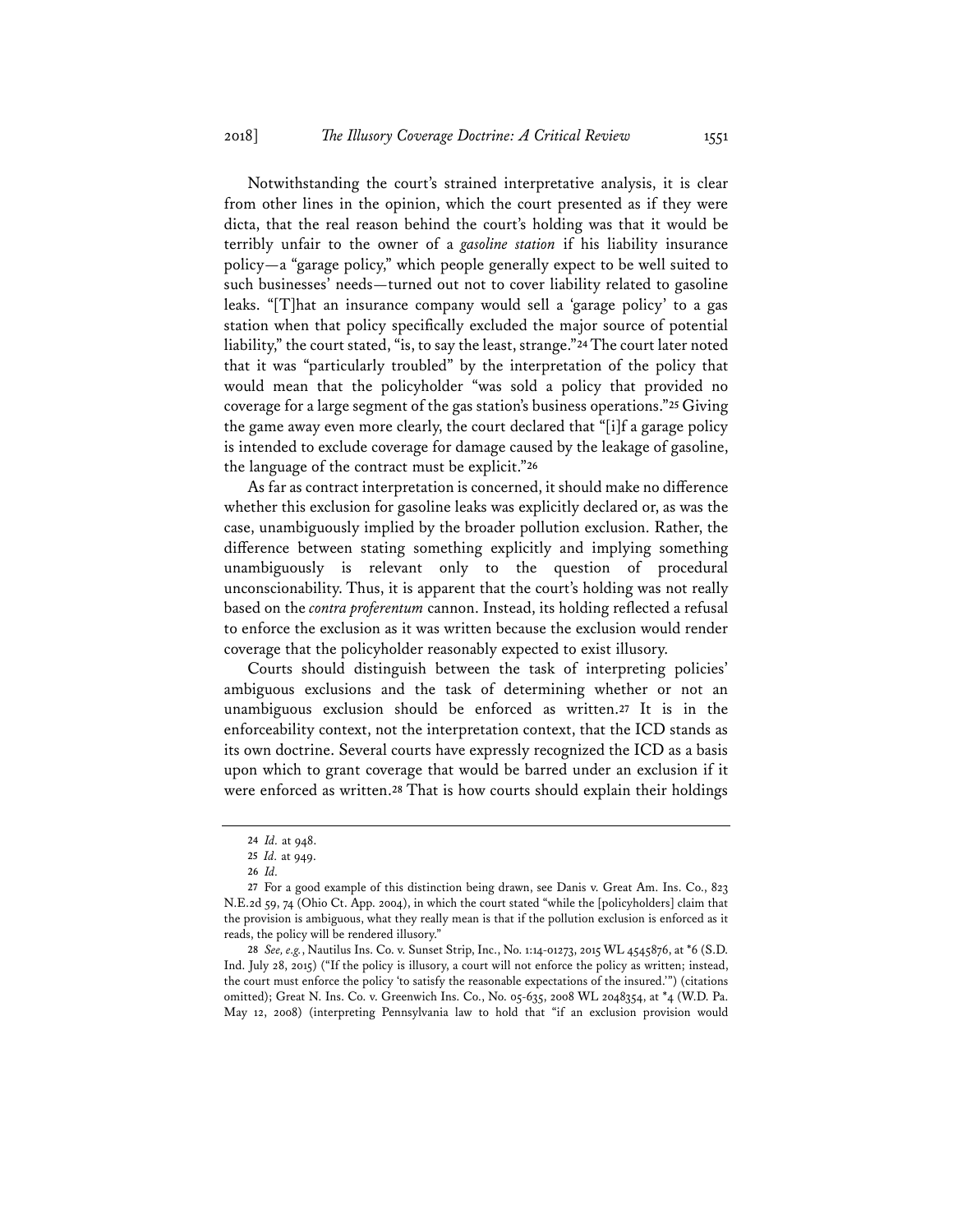Notwithstanding the court's strained interpretative analysis, it is clear from other lines in the opinion, which the court presented as if they were dicta, that the real reason behind the court's holding was that it would be terribly unfair to the owner of a *gasoline station* if his liability insurance policy—a "garage policy," which people generally expect to be well suited to such businesses' needs—turned out not to cover liability related to gasoline leaks. "[T]hat an insurance company would sell a 'garage policy' to a gas station when that policy specifically excluded the major source of potential liability," the court stated, "is, to say the least, strange."**<sup>24</sup>** The court later noted that it was "particularly troubled" by the interpretation of the policy that would mean that the policyholder "was sold a policy that provided no coverage for a large segment of the gas station's business operations."**<sup>25</sup>** Giving the game away even more clearly, the court declared that "[i]f a garage policy is intended to exclude coverage for damage caused by the leakage of gasoline, the language of the contract must be explicit."**<sup>26</sup>**

As far as contract interpretation is concerned, it should make no difference whether this exclusion for gasoline leaks was explicitly declared or, as was the case, unambiguously implied by the broader pollution exclusion. Rather, the difference between stating something explicitly and implying something unambiguously is relevant only to the question of procedural unconscionability. Thus, it is apparent that the court's holding was not really based on the *contra proferentum* cannon. Instead, its holding reflected a refusal to enforce the exclusion as it was written because the exclusion would render coverage that the policyholder reasonably expected to exist illusory.

Courts should distinguish between the task of interpreting policies' ambiguous exclusions and the task of determining whether or not an unambiguous exclusion should be enforced as written.**<sup>27</sup>** It is in the enforceability context, not the interpretation context, that the ICD stands as its own doctrine. Several courts have expressly recognized the ICD as a basis upon which to grant coverage that would be barred under an exclusion if it were enforced as written.**<sup>28</sup>** That is how courts should explain their holdings

**<sup>24</sup>** *Id.* at 948.

**<sup>25</sup>** *Id.* at 949.

**<sup>26</sup>** *Id.*

**<sup>27</sup>** For a good example of this distinction being drawn, see Danis v. Great Am. Ins. Co., 823 N.E.2d 59, 74 (Ohio Ct. App. 2004), in which the court stated "while the [policyholders] claim that the provision is ambiguous, what they really mean is that if the pollution exclusion is enforced as it reads, the policy will be rendered illusory."

**<sup>28</sup>** *See, e.g.*, Nautilus Ins. Co. v. Sunset Strip, Inc., No. 1:14-01273, 2015 WL 4545876, at \*6 (S.D. Ind. July 28, 2015) ("If the policy is illusory, a court will not enforce the policy as written; instead, the court must enforce the policy 'to satisfy the reasonable expectations of the insured.'") (citations omitted); Great N. Ins. Co. v. Greenwich Ins. Co., No. 05-635, 2008 WL 2048354, at \*4 (W.D. Pa. May 12, 2008) (interpreting Pennsylvania law to hold that "if an exclusion provision would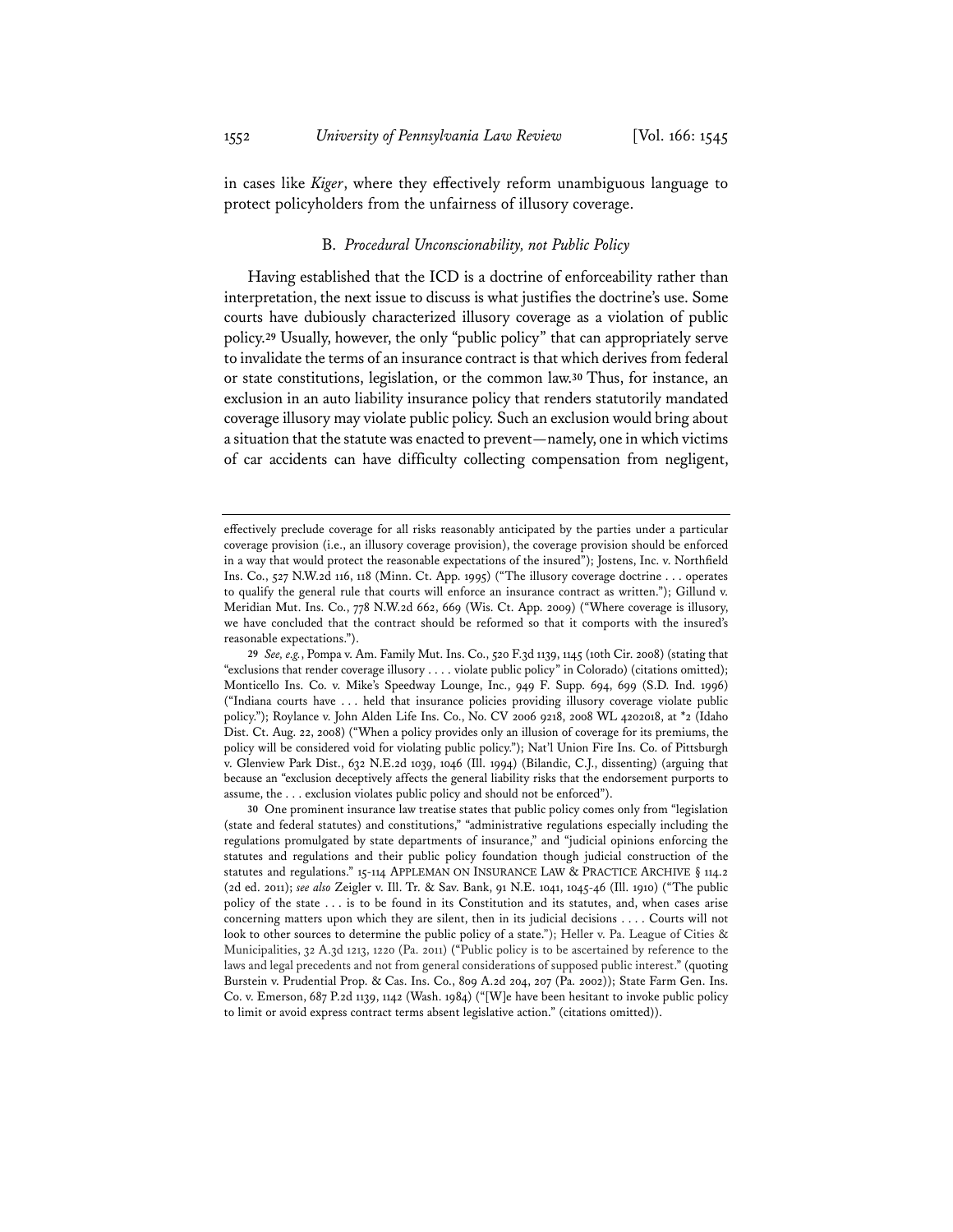in cases like *Kiger*, where they effectively reform unambiguous language to protect policyholders from the unfairness of illusory coverage.

#### B. *Procedural Unconscionability, not Public Policy*

Having established that the ICD is a doctrine of enforceability rather than interpretation, the next issue to discuss is what justifies the doctrine's use. Some courts have dubiously characterized illusory coverage as a violation of public policy.**<sup>29</sup>** Usually, however, the only "public policy" that can appropriately serve to invalidate the terms of an insurance contract is that which derives from federal or state constitutions, legislation, or the common law.**<sup>30</sup>** Thus, for instance, an exclusion in an auto liability insurance policy that renders statutorily mandated coverage illusory may violate public policy. Such an exclusion would bring about a situation that the statute was enacted to prevent—namely, one in which victims of car accidents can have difficulty collecting compensation from negligent,

effectively preclude coverage for all risks reasonably anticipated by the parties under a particular coverage provision (i.e., an illusory coverage provision), the coverage provision should be enforced in a way that would protect the reasonable expectations of the insured"); Jostens, Inc. v. Northfield Ins. Co., 527 N.W.2d 116, 118 (Minn. Ct. App. 1995) ("The illusory coverage doctrine . . . operates to qualify the general rule that courts will enforce an insurance contract as written."); Gillund v. Meridian Mut. Ins. Co., 778 N.W.2d 662, 669 (Wis. Ct. App. 2009) ("Where coverage is illusory, we have concluded that the contract should be reformed so that it comports with the insured's reasonable expectations.").

**<sup>29</sup>** *See, e.g.*, Pompa v. Am. Family Mut. Ins. Co., 520 F.3d 1139, 1145 (10th Cir. 2008) (stating that "exclusions that render coverage illusory . . . . violate public policy" in Colorado) (citations omitted); Monticello Ins. Co. v. Mike's Speedway Lounge, Inc., 949 F. Supp. 694, 699 (S.D. Ind. 1996) ("Indiana courts have . . . held that insurance policies providing illusory coverage violate public policy."); Roylance v. John Alden Life Ins. Co., No. CV 2006 9218, 2008 WL 4202018, at \*2 (Idaho Dist. Ct. Aug. 22, 2008) ("When a policy provides only an illusion of coverage for its premiums, the policy will be considered void for violating public policy."); Nat'l Union Fire Ins. Co. of Pittsburgh v. Glenview Park Dist., 632 N.E.2d 1039, 1046 (Ill. 1994) (Bilandic, C.J., dissenting) (arguing that because an "exclusion deceptively affects the general liability risks that the endorsement purports to assume, the . . . exclusion violates public policy and should not be enforced").

**<sup>30</sup>** One prominent insurance law treatise states that public policy comes only from "legislation (state and federal statutes) and constitutions," "administrative regulations especially including the regulations promulgated by state departments of insurance," and "judicial opinions enforcing the statutes and regulations and their public policy foundation though judicial construction of the statutes and regulations." 15-114 APPLEMAN ON INSURANCE LAW & PRACTICE ARCHIVE § 114.2 (2d ed. 2011); *see also* Zeigler v. Ill. Tr. & Sav. Bank, 91 N.E. 1041, 1045-46 (Ill. 1910) ("The public policy of the state . . . is to be found in its Constitution and its statutes, and, when cases arise concerning matters upon which they are silent, then in its judicial decisions . . . . Courts will not look to other sources to determine the public policy of a state."); Heller v. Pa. League of Cities & Municipalities, 32 A.3d 1213, 1220 (Pa. 2011) ("Public policy is to be ascertained by reference to the laws and legal precedents and not from general considerations of supposed public interest." (quoting Burstein v. Prudential Prop. & Cas. Ins. Co., 809 A.2d 204, 207 (Pa. 2002)); State Farm Gen. Ins. Co. v. Emerson, 687 P.2d 1139, 1142 (Wash. 1984) ("[W]e have been hesitant to invoke public policy to limit or avoid express contract terms absent legislative action." (citations omitted)).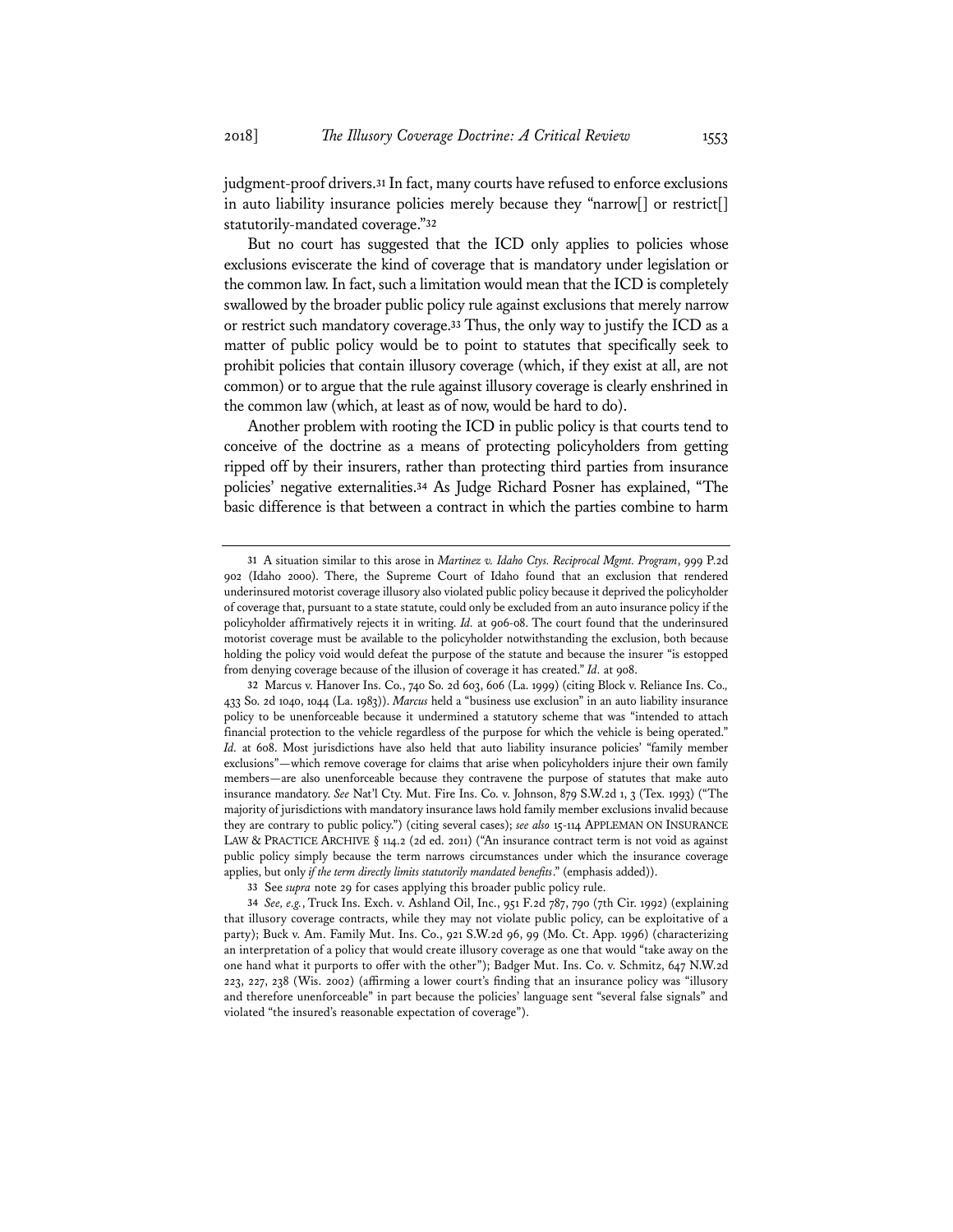judgment-proof drivers.**<sup>31</sup>** In fact, many courts have refused to enforce exclusions in auto liability insurance policies merely because they "narrow[] or restrict[] statutorily-mandated coverage."**<sup>32</sup>**

But no court has suggested that the ICD only applies to policies whose exclusions eviscerate the kind of coverage that is mandatory under legislation or the common law. In fact, such a limitation would mean that the ICD is completely swallowed by the broader public policy rule against exclusions that merely narrow or restrict such mandatory coverage.**<sup>33</sup>** Thus, the only way to justify the ICD as a matter of public policy would be to point to statutes that specifically seek to prohibit policies that contain illusory coverage (which, if they exist at all, are not common) or to argue that the rule against illusory coverage is clearly enshrined in the common law (which, at least as of now, would be hard to do).

Another problem with rooting the ICD in public policy is that courts tend to conceive of the doctrine as a means of protecting policyholders from getting ripped off by their insurers, rather than protecting third parties from insurance policies' negative externalities.**<sup>34</sup>** As Judge Richard Posner has explained, "The basic difference is that between a contract in which the parties combine to harm

**<sup>31</sup>** A situation similar to this arose in *Martinez v. Idaho Ctys. Reciprocal Mgmt. Program*, 999 P.2d 902 (Idaho 2000). There, the Supreme Court of Idaho found that an exclusion that rendered underinsured motorist coverage illusory also violated public policy because it deprived the policyholder of coverage that, pursuant to a state statute, could only be excluded from an auto insurance policy if the policyholder affirmatively rejects it in writing. *Id.* at 906-08. The court found that the underinsured motorist coverage must be available to the policyholder notwithstanding the exclusion, both because holding the policy void would defeat the purpose of the statute and because the insurer "is estopped from denying coverage because of the illusion of coverage it has created." *Id.* at 908.

**<sup>32</sup>** Marcus v. Hanover Ins. Co., 740 So. 2d 603, 606 (La. 1999) (citing Block v. Reliance Ins. Co.*,* 433 So. 2d 1040, 1044 (La. 1983)). *Marcus* held a "business use exclusion" in an auto liability insurance policy to be unenforceable because it undermined a statutory scheme that was "intended to attach financial protection to the vehicle regardless of the purpose for which the vehicle is being operated." *Id.* at 608. Most jurisdictions have also held that auto liability insurance policies' "family member exclusions"—which remove coverage for claims that arise when policyholders injure their own family members—are also unenforceable because they contravene the purpose of statutes that make auto insurance mandatory. *See* Nat'l Cty. Mut. Fire Ins. Co. v. Johnson, 879 S.W.2d 1, 3 (Tex. 1993) ("The majority of jurisdictions with mandatory insurance laws hold family member exclusions invalid because they are contrary to public policy.") (citing several cases); *see also* 15-114 APPLEMAN ON INSURANCE LAW & PRACTICE ARCHIVE § 114.2 (2d ed. 2011) ("An insurance contract term is not void as against public policy simply because the term narrows circumstances under which the insurance coverage applies, but only *if the term directly limits statutorily mandated benefits*." (emphasis added)).

**<sup>33</sup>** See *supra* note 29 for cases applying this broader public policy rule.

**<sup>34</sup>** *See, e.g.*, Truck Ins. Exch. v. Ashland Oil, Inc., 951 F.2d 787, 790 (7th Cir. 1992) (explaining that illusory coverage contracts, while they may not violate public policy, can be exploitative of a party); Buck v. Am. Family Mut. Ins. Co., 921 S.W.2d 96, 99 (Mo. Ct. App. 1996) (characterizing an interpretation of a policy that would create illusory coverage as one that would "take away on the one hand what it purports to offer with the other"); Badger Mut. Ins. Co. v. Schmitz, 647 N.W.2d 223, 227, 238 (Wis. 2002) (affirming a lower court's finding that an insurance policy was "illusory and therefore unenforceable" in part because the policies' language sent "several false signals" and violated "the insured's reasonable expectation of coverage").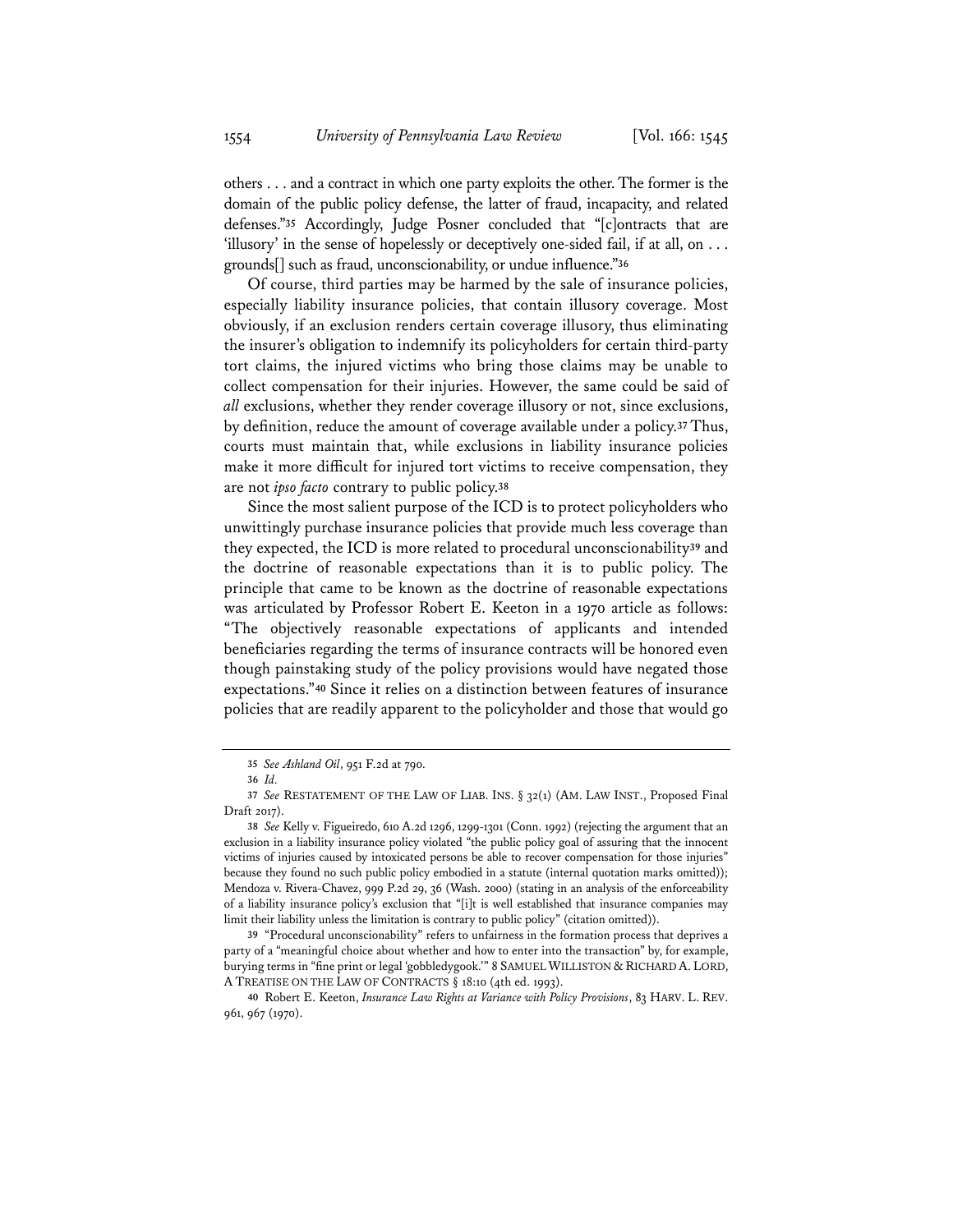others . . . and a contract in which one party exploits the other. The former is the domain of the public policy defense, the latter of fraud, incapacity, and related defenses."**<sup>35</sup>** Accordingly, Judge Posner concluded that "[c]ontracts that are 'illusory' in the sense of hopelessly or deceptively one-sided fail, if at all, on . . . grounds[] such as fraud, unconscionability, or undue influence."**<sup>36</sup>**

Of course, third parties may be harmed by the sale of insurance policies, especially liability insurance policies, that contain illusory coverage. Most obviously, if an exclusion renders certain coverage illusory, thus eliminating the insurer's obligation to indemnify its policyholders for certain third-party tort claims, the injured victims who bring those claims may be unable to collect compensation for their injuries. However, the same could be said of *all* exclusions, whether they render coverage illusory or not, since exclusions, by definition, reduce the amount of coverage available under a policy.**<sup>37</sup>** Thus, courts must maintain that, while exclusions in liability insurance policies make it more difficult for injured tort victims to receive compensation, they are not *ipso facto* contrary to public policy.**<sup>38</sup>**

Since the most salient purpose of the ICD is to protect policyholders who unwittingly purchase insurance policies that provide much less coverage than they expected, the ICD is more related to procedural unconscionability**<sup>39</sup>** and the doctrine of reasonable expectations than it is to public policy. The principle that came to be known as the doctrine of reasonable expectations was articulated by Professor Robert E. Keeton in a 1970 article as follows: "The objectively reasonable expectations of applicants and intended beneficiaries regarding the terms of insurance contracts will be honored even though painstaking study of the policy provisions would have negated those expectations."**<sup>40</sup>** Since it relies on a distinction between features of insurance policies that are readily apparent to the policyholder and those that would go

**<sup>35</sup>** *See Ashland Oil*, 951 F.2d at 790.

**<sup>36</sup>** *Id.*

**<sup>37</sup>** *See* RESTATEMENT OF THE LAW OF LIAB. INS. § 32(1) (AM. LAW INST., Proposed Final Draft 2017).

**<sup>38</sup>** *See* Kelly v. Figueiredo, 610 A.2d 1296, 1299-1301 (Conn. 1992) (rejecting the argument that an exclusion in a liability insurance policy violated "the public policy goal of assuring that the innocent victims of injuries caused by intoxicated persons be able to recover compensation for those injuries" because they found no such public policy embodied in a statute (internal quotation marks omitted)); Mendoza v. Rivera-Chavez, 999 P.2d 29, 36 (Wash. 2000) (stating in an analysis of the enforceability of a liability insurance policy's exclusion that "[i]t is well established that insurance companies may limit their liability unless the limitation is contrary to public policy" (citation omitted)).

**<sup>39</sup>** "Procedural unconscionability" refers to unfairness in the formation process that deprives a party of a "meaningful choice about whether and how to enter into the transaction" by, for example, burying terms in "fine print or legal 'gobbledygook.'" 8 SAMUEL WILLISTON & RICHARD A. LORD, A TREATISE ON THE LAW OF CONTRACTS § 18:10 (4th ed. 1993).

**<sup>40</sup>** Robert E. Keeton, *Insurance Law Rights at Variance with Policy Provisions*, 83 HARV. L. REV. 961, 967 (1970).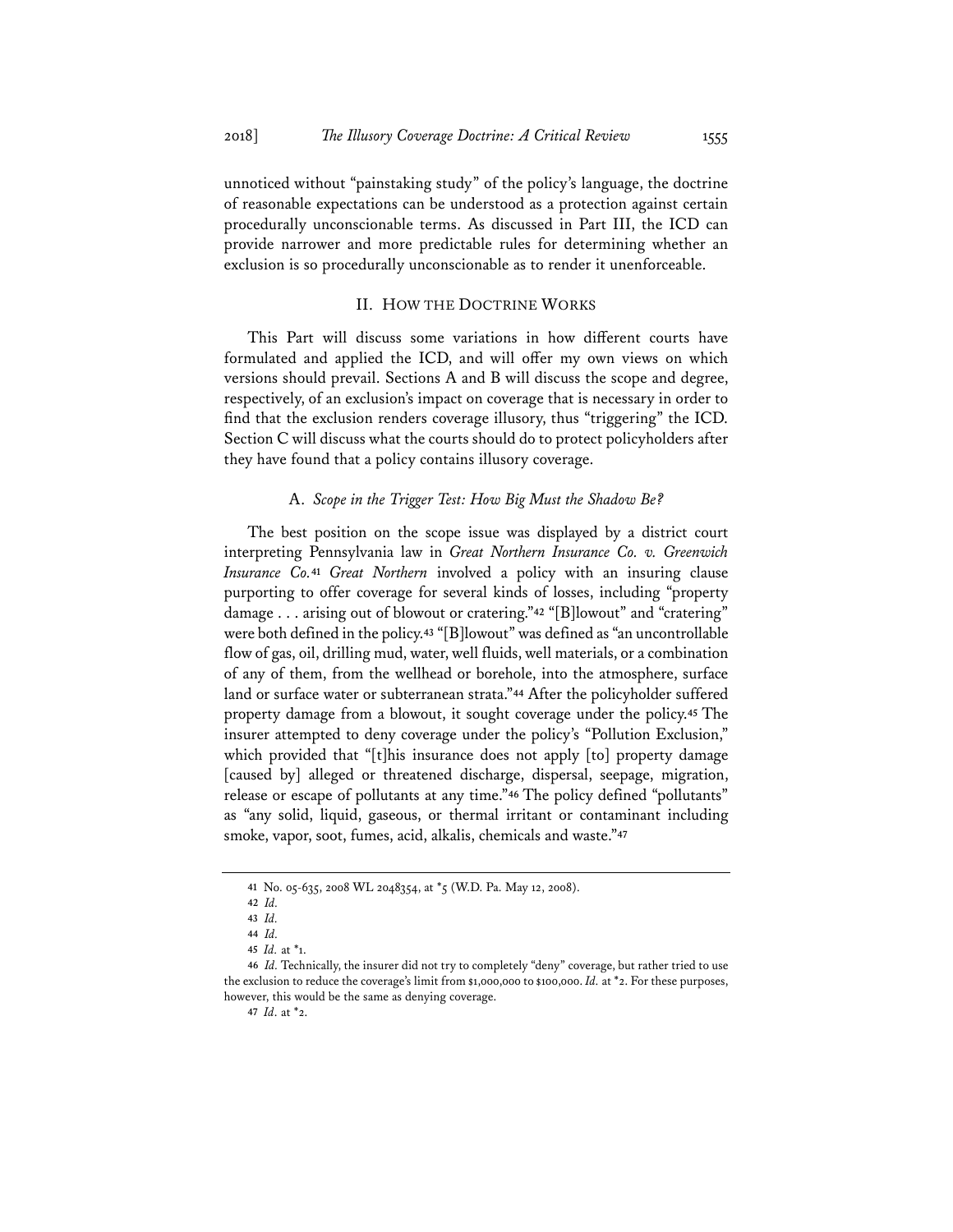unnoticed without "painstaking study" of the policy's language, the doctrine of reasonable expectations can be understood as a protection against certain procedurally unconscionable terms. As discussed in Part III, the ICD can provide narrower and more predictable rules for determining whether an exclusion is so procedurally unconscionable as to render it unenforceable.

#### II. HOW THE DOCTRINE WORKS

This Part will discuss some variations in how different courts have formulated and applied the ICD, and will offer my own views on which versions should prevail. Sections A and B will discuss the scope and degree, respectively, of an exclusion's impact on coverage that is necessary in order to find that the exclusion renders coverage illusory, thus "triggering" the ICD. Section C will discuss what the courts should do to protect policyholders after they have found that a policy contains illusory coverage.

#### A. *Scope in the Trigger Test: How Big Must the Shadow Be?*

The best position on the scope issue was displayed by a district court interpreting Pennsylvania law in *Great Northern Insurance Co. v. Greenwich Insurance Co.***<sup>41</sup>** *Great Northern* involved a policy with an insuring clause purporting to offer coverage for several kinds of losses, including "property damage . . . arising out of blowout or cratering."**<sup>42</sup>** "[B]lowout" and "cratering" were both defined in the policy.**<sup>43</sup>** "[B]lowout" was defined as "an uncontrollable flow of gas, oil, drilling mud, water, well fluids, well materials, or a combination of any of them, from the wellhead or borehole, into the atmosphere, surface land or surface water or subterranean strata."**<sup>44</sup>** After the policyholder suffered property damage from a blowout, it sought coverage under the policy.**<sup>45</sup>** The insurer attempted to deny coverage under the policy's "Pollution Exclusion," which provided that "[t]his insurance does not apply  $[t]$  property damage [caused by] alleged or threatened discharge, dispersal, seepage, migration, release or escape of pollutants at any time."**<sup>46</sup>** The policy defined "pollutants" as "any solid, liquid, gaseous, or thermal irritant or contaminant including smoke, vapor, soot, fumes, acid, alkalis, chemicals and waste."**<sup>47</sup>**

**<sup>41</sup>** No. 05-635, 2008 WL 2048354, at \*5 (W.D. Pa. May 12, 2008).

**<sup>42</sup>** *Id.*

**<sup>43</sup>** *Id.* 

**<sup>44</sup>** *Id.*

**<sup>45</sup>** *Id.* at \*1.

**<sup>46</sup>** *Id.* Technically, the insurer did not try to completely "deny" coverage, but rather tried to use the exclusion to reduce the coverage's limit from \$1,000,000 to \$100,000. *Id.* at \*2. For these purposes, however, this would be the same as denying coverage.

**<sup>47</sup>** *Id*. at \*2.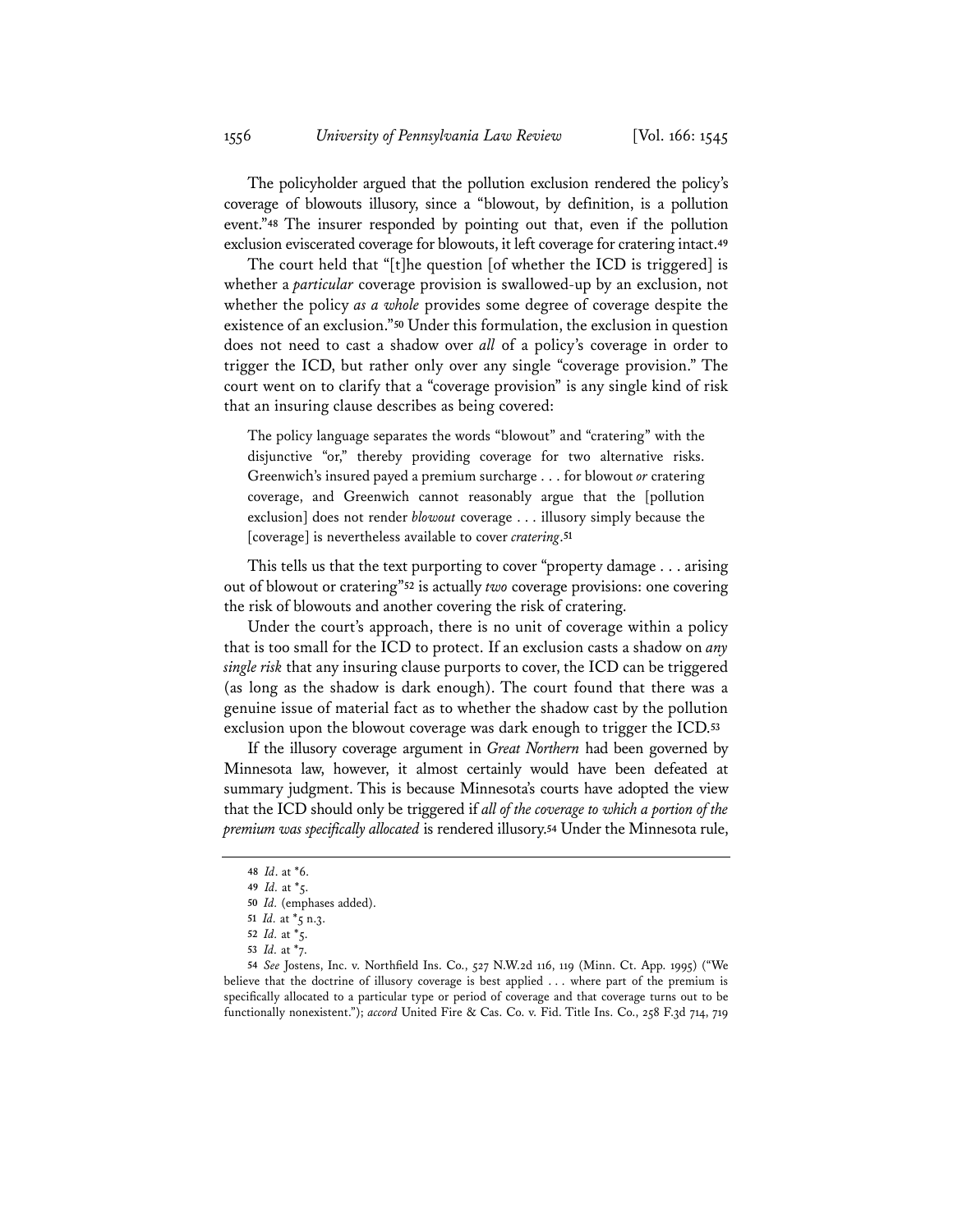The policyholder argued that the pollution exclusion rendered the policy's coverage of blowouts illusory, since a "blowout, by definition, is a pollution event."**<sup>48</sup>** The insurer responded by pointing out that, even if the pollution exclusion eviscerated coverage for blowouts, it left coverage for cratering intact.**<sup>49</sup>**

The court held that "[t]he question [of whether the ICD is triggered] is whether a *particular* coverage provision is swallowed-up by an exclusion, not whether the policy *as a whole* provides some degree of coverage despite the existence of an exclusion."**<sup>50</sup>** Under this formulation, the exclusion in question does not need to cast a shadow over *all* of a policy's coverage in order to trigger the ICD, but rather only over any single "coverage provision." The court went on to clarify that a "coverage provision" is any single kind of risk that an insuring clause describes as being covered:

The policy language separates the words "blowout" and "cratering" with the disjunctive "or," thereby providing coverage for two alternative risks. Greenwich's insured payed a premium surcharge . . . for blowout *or* cratering coverage, and Greenwich cannot reasonably argue that the [pollution exclusion] does not render *blowout* coverage . . . illusory simply because the [coverage] is nevertheless available to cover *cratering*.**<sup>51</sup>**

This tells us that the text purporting to cover "property damage . . . arising out of blowout or cratering"**<sup>52</sup>** is actually *two* coverage provisions: one covering the risk of blowouts and another covering the risk of cratering.

Under the court's approach, there is no unit of coverage within a policy that is too small for the ICD to protect. If an exclusion casts a shadow on *any single risk* that any insuring clause purports to cover, the ICD can be triggered (as long as the shadow is dark enough). The court found that there was a genuine issue of material fact as to whether the shadow cast by the pollution exclusion upon the blowout coverage was dark enough to trigger the ICD.**<sup>53</sup>**

If the illusory coverage argument in *Great Northern* had been governed by Minnesota law, however, it almost certainly would have been defeated at summary judgment. This is because Minnesota's courts have adopted the view that the ICD should only be triggered if *all of the coverage to which a portion of the premium was specifically allocated* is rendered illusory.**<sup>54</sup>** Under the Minnesota rule,

**<sup>48</sup>** *Id*. at \*6.

**<sup>49</sup>** *Id.* at \*5.

**<sup>50</sup>** *Id.* (emphases added).

**<sup>51</sup>** *Id.* at \*5 n.3.

**<sup>52</sup>** *Id.* at \*5.

**<sup>53</sup>** *Id.* at \*7.

**<sup>54</sup>** *See* Jostens, Inc. v. Northfield Ins. Co., 527 N.W.2d 116, 119 (Minn. Ct. App. 1995) ("We believe that the doctrine of illusory coverage is best applied . . . where part of the premium is specifically allocated to a particular type or period of coverage and that coverage turns out to be functionally nonexistent."); *accord* United Fire & Cas. Co. v. Fid. Title Ins. Co., 258 F.3d 714, 719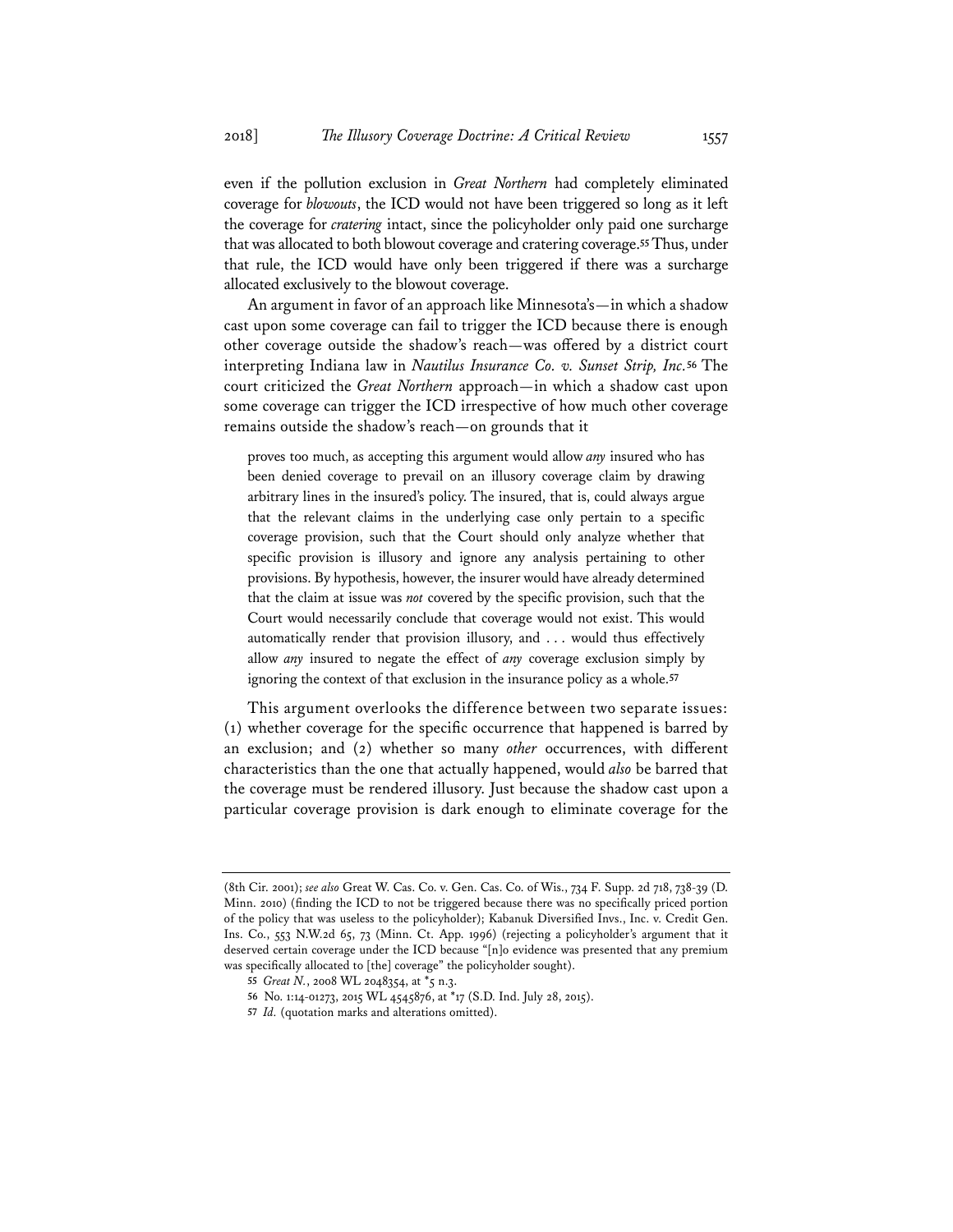even if the pollution exclusion in *Great Northern* had completely eliminated coverage for *blowouts*, the ICD would not have been triggered so long as it left the coverage for *cratering* intact, since the policyholder only paid one surcharge that was allocated to both blowout coverage and cratering coverage.**<sup>55</sup>** Thus, under that rule, the ICD would have only been triggered if there was a surcharge allocated exclusively to the blowout coverage.

An argument in favor of an approach like Minnesota's—in which a shadow cast upon some coverage can fail to trigger the ICD because there is enough other coverage outside the shadow's reach—was offered by a district court interpreting Indiana law in *Nautilus Insurance Co. v. Sunset Strip, Inc.***<sup>56</sup>** The court criticized the *Great Northern* approach—in which a shadow cast upon some coverage can trigger the ICD irrespective of how much other coverage remains outside the shadow's reach—on grounds that it

proves too much, as accepting this argument would allow *any* insured who has been denied coverage to prevail on an illusory coverage claim by drawing arbitrary lines in the insured's policy. The insured, that is, could always argue that the relevant claims in the underlying case only pertain to a specific coverage provision, such that the Court should only analyze whether that specific provision is illusory and ignore any analysis pertaining to other provisions. By hypothesis, however, the insurer would have already determined that the claim at issue was *not* covered by the specific provision, such that the Court would necessarily conclude that coverage would not exist. This would automatically render that provision illusory, and . . . would thus effectively allow *any* insured to negate the effect of *any* coverage exclusion simply by ignoring the context of that exclusion in the insurance policy as a whole.**<sup>57</sup>**

This argument overlooks the difference between two separate issues: (1) whether coverage for the specific occurrence that happened is barred by an exclusion; and (2) whether so many *other* occurrences, with different characteristics than the one that actually happened, would *also* be barred that the coverage must be rendered illusory. Just because the shadow cast upon a particular coverage provision is dark enough to eliminate coverage for the

<sup>(8</sup>th Cir. 2001); *see also* Great W. Cas. Co. v. Gen. Cas. Co. of Wis., 734 F. Supp. 2d 718, 738-39 (D. Minn. 2010) (finding the ICD to not be triggered because there was no specifically priced portion of the policy that was useless to the policyholder); Kabanuk Diversified Invs., Inc. v. Credit Gen. Ins. Co., 553 N.W.2d 65, 73 (Minn. Ct. App. 1996) (rejecting a policyholder's argument that it deserved certain coverage under the ICD because "[n]o evidence was presented that any premium was specifically allocated to [the] coverage" the policyholder sought).

**<sup>55</sup>** *Great N.*, 2008 WL 2048354, at \*5 n.3.

**<sup>56</sup>** No. 1:14-01273, 2015 WL 4545876, at \*17 (S.D. Ind. July 28, 2015).

**<sup>57</sup>** *Id.* (quotation marks and alterations omitted).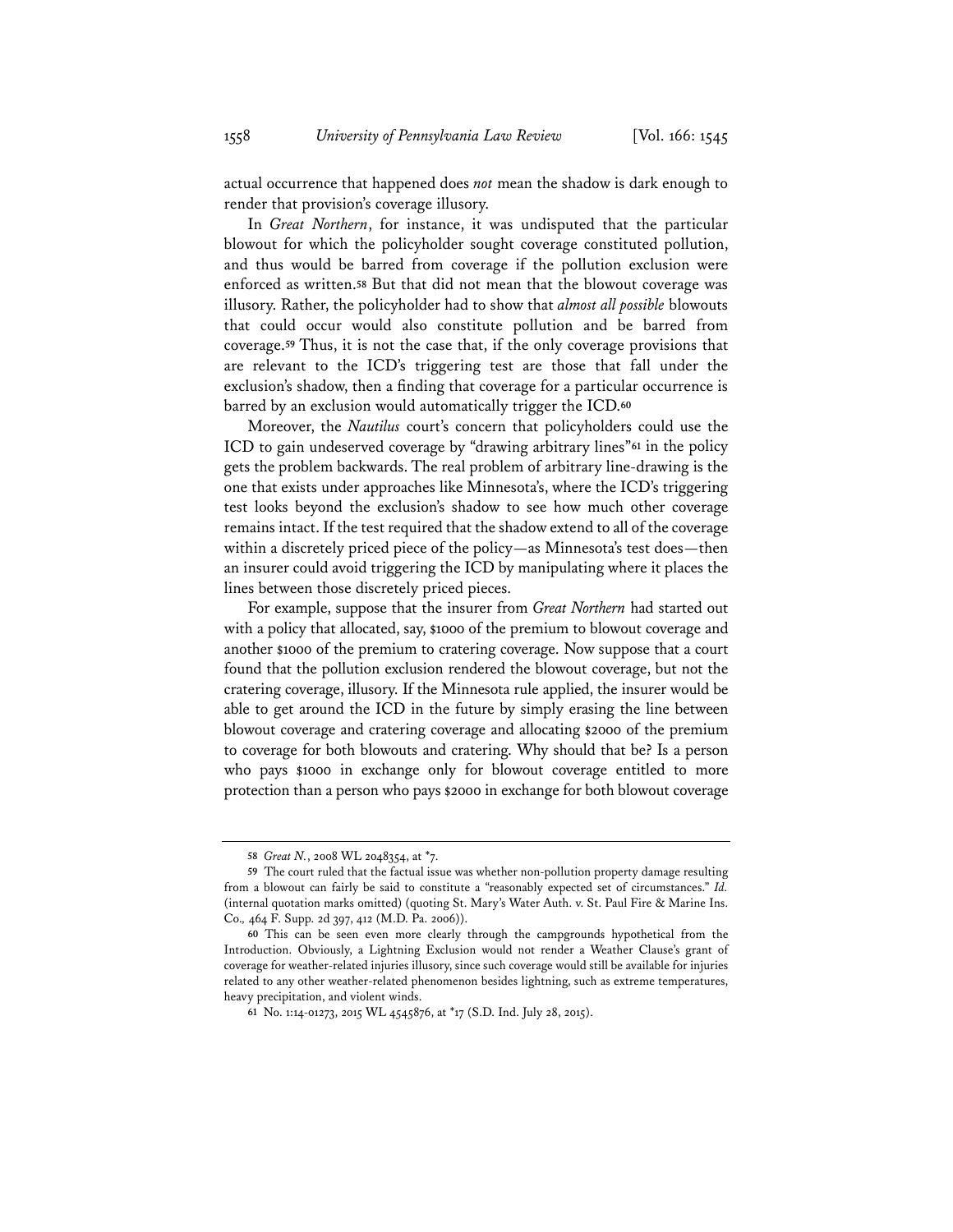actual occurrence that happened does *not* mean the shadow is dark enough to render that provision's coverage illusory.

In *Great Northern*, for instance, it was undisputed that the particular blowout for which the policyholder sought coverage constituted pollution, and thus would be barred from coverage if the pollution exclusion were enforced as written.**<sup>58</sup>** But that did not mean that the blowout coverage was illusory. Rather, the policyholder had to show that *almost all possible* blowouts that could occur would also constitute pollution and be barred from coverage.**<sup>59</sup>** Thus, it is not the case that, if the only coverage provisions that are relevant to the ICD's triggering test are those that fall under the exclusion's shadow, then a finding that coverage for a particular occurrence is barred by an exclusion would automatically trigger the ICD.**<sup>60</sup>**

Moreover, the *Nautilus* court's concern that policyholders could use the ICD to gain undeserved coverage by "drawing arbitrary lines"**<sup>61</sup>** in the policy gets the problem backwards. The real problem of arbitrary line-drawing is the one that exists under approaches like Minnesota's, where the ICD's triggering test looks beyond the exclusion's shadow to see how much other coverage remains intact. If the test required that the shadow extend to all of the coverage within a discretely priced piece of the policy—as Minnesota's test does—then an insurer could avoid triggering the ICD by manipulating where it places the lines between those discretely priced pieces.

For example, suppose that the insurer from *Great Northern* had started out with a policy that allocated, say, \$1000 of the premium to blowout coverage and another \$1000 of the premium to cratering coverage. Now suppose that a court found that the pollution exclusion rendered the blowout coverage, but not the cratering coverage, illusory. If the Minnesota rule applied, the insurer would be able to get around the ICD in the future by simply erasing the line between blowout coverage and cratering coverage and allocating \$2000 of the premium to coverage for both blowouts and cratering. Why should that be? Is a person who pays \$1000 in exchange only for blowout coverage entitled to more protection than a person who pays \$2000 in exchange for both blowout coverage

**<sup>58</sup>** *Great N.*, 2008 WL 2048354, at \*7.

**<sup>59</sup>** The court ruled that the factual issue was whether non-pollution property damage resulting from a blowout can fairly be said to constitute a "reasonably expected set of circumstances." *Id.* (internal quotation marks omitted) (quoting St. Mary's Water Auth. v. St. Paul Fire & Marine Ins. Co.*,* 464 F. Supp. 2d 397, 412 (M.D. Pa. 2006)).

**<sup>60</sup>** This can be seen even more clearly through the campgrounds hypothetical from the Introduction. Obviously, a Lightning Exclusion would not render a Weather Clause's grant of coverage for weather-related injuries illusory, since such coverage would still be available for injuries related to any other weather-related phenomenon besides lightning, such as extreme temperatures, heavy precipitation, and violent winds.

**<sup>61</sup>** No. 1:14-01273, 2015 WL 4545876, at \*17 (S.D. Ind. July 28, 2015).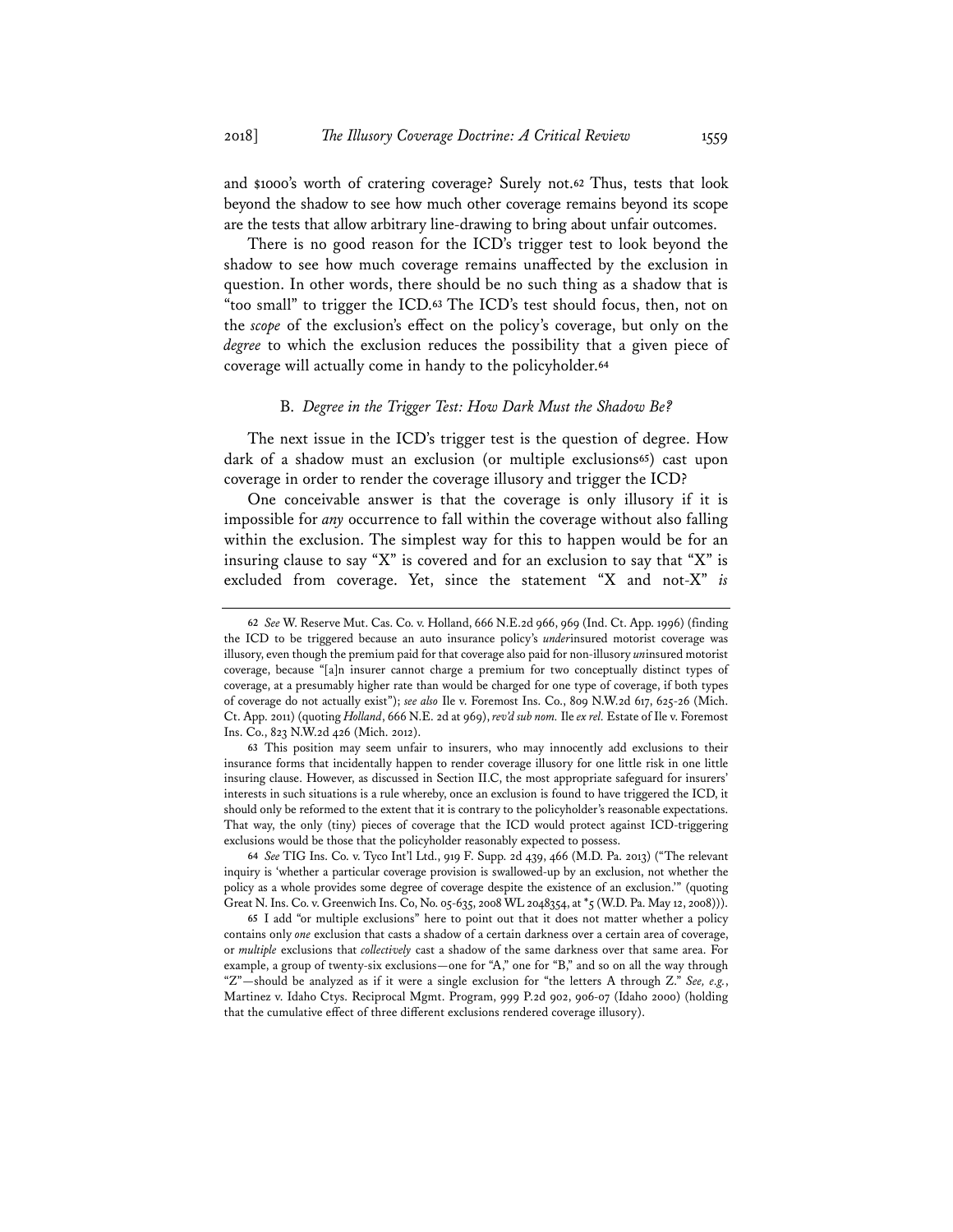and \$1000's worth of cratering coverage? Surely not.**<sup>62</sup>** Thus, tests that look beyond the shadow to see how much other coverage remains beyond its scope are the tests that allow arbitrary line-drawing to bring about unfair outcomes.

There is no good reason for the ICD's trigger test to look beyond the shadow to see how much coverage remains unaffected by the exclusion in question. In other words, there should be no such thing as a shadow that is "too small" to trigger the ICD.**<sup>63</sup>** The ICD's test should focus, then, not on the *scope* of the exclusion's effect on the policy's coverage, but only on the *degree* to which the exclusion reduces the possibility that a given piece of coverage will actually come in handy to the policyholder.**<sup>64</sup>**

#### B. *Degree in the Trigger Test: How Dark Must the Shadow Be?*

The next issue in the ICD's trigger test is the question of degree. How dark of a shadow must an exclusion (or multiple exclusions**<sup>65</sup>**) cast upon coverage in order to render the coverage illusory and trigger the ICD?

One conceivable answer is that the coverage is only illusory if it is impossible for *any* occurrence to fall within the coverage without also falling within the exclusion. The simplest way for this to happen would be for an insuring clause to say "X" is covered and for an exclusion to say that "X" is excluded from coverage. Yet, since the statement "X and not-X" *is*

**65** I add "or multiple exclusions" here to point out that it does not matter whether a policy contains only *one* exclusion that casts a shadow of a certain darkness over a certain area of coverage, or *multiple* exclusions that *collectively* cast a shadow of the same darkness over that same area. For example, a group of twenty-six exclusions—one for "A," one for "B," and so on all the way through "Z"—should be analyzed as if it were a single exclusion for "the letters A through Z." *See, e.g.*, Martinez v. Idaho Ctys. Reciprocal Mgmt. Program, 999 P.2d 902, 906-07 (Idaho 2000) (holding that the cumulative effect of three different exclusions rendered coverage illusory).

**<sup>62</sup>** *See* W. Reserve Mut. Cas. Co. v. Holland, 666 N.E.2d 966, 969 (Ind. Ct. App. 1996) (finding the ICD to be triggered because an auto insurance policy's *under*insured motorist coverage was illusory, even though the premium paid for that coverage also paid for non-illusory *un*insured motorist coverage, because "[a]n insurer cannot charge a premium for two conceptually distinct types of coverage, at a presumably higher rate than would be charged for one type of coverage, if both types of coverage do not actually exist"); *see also* Ile v. Foremost Ins. Co., 809 N.W.2d 617, 625-26 (Mich. Ct. App. 2011) (quoting *Holland*, 666 N.E. 2d at 969), *rev'd sub nom.* Ile *ex rel.* Estate of Ile v. Foremost Ins. Co., 823 N.W.2d 426 (Mich. 2012).

**<sup>63</sup>** This position may seem unfair to insurers, who may innocently add exclusions to their insurance forms that incidentally happen to render coverage illusory for one little risk in one little insuring clause. However, as discussed in Section II.C, the most appropriate safeguard for insurers' interests in such situations is a rule whereby, once an exclusion is found to have triggered the ICD, it should only be reformed to the extent that it is contrary to the policyholder's reasonable expectations. That way, the only (tiny) pieces of coverage that the ICD would protect against ICD-triggering exclusions would be those that the policyholder reasonably expected to possess.

**<sup>64</sup>** *See* TIG Ins. Co. v. Tyco Int'l Ltd., 919 F. Supp. 2d 439, 466 (M.D. Pa. 2013) ("The relevant inquiry is 'whether a particular coverage provision is swallowed-up by an exclusion, not whether the policy as a whole provides some degree of coverage despite the existence of an exclusion.'" (quoting Great N. Ins. Co. v. Greenwich Ins. Co, No. 05-635, 2008 WL 2048354, at \*5 (W.D. Pa. May 12, 2008))).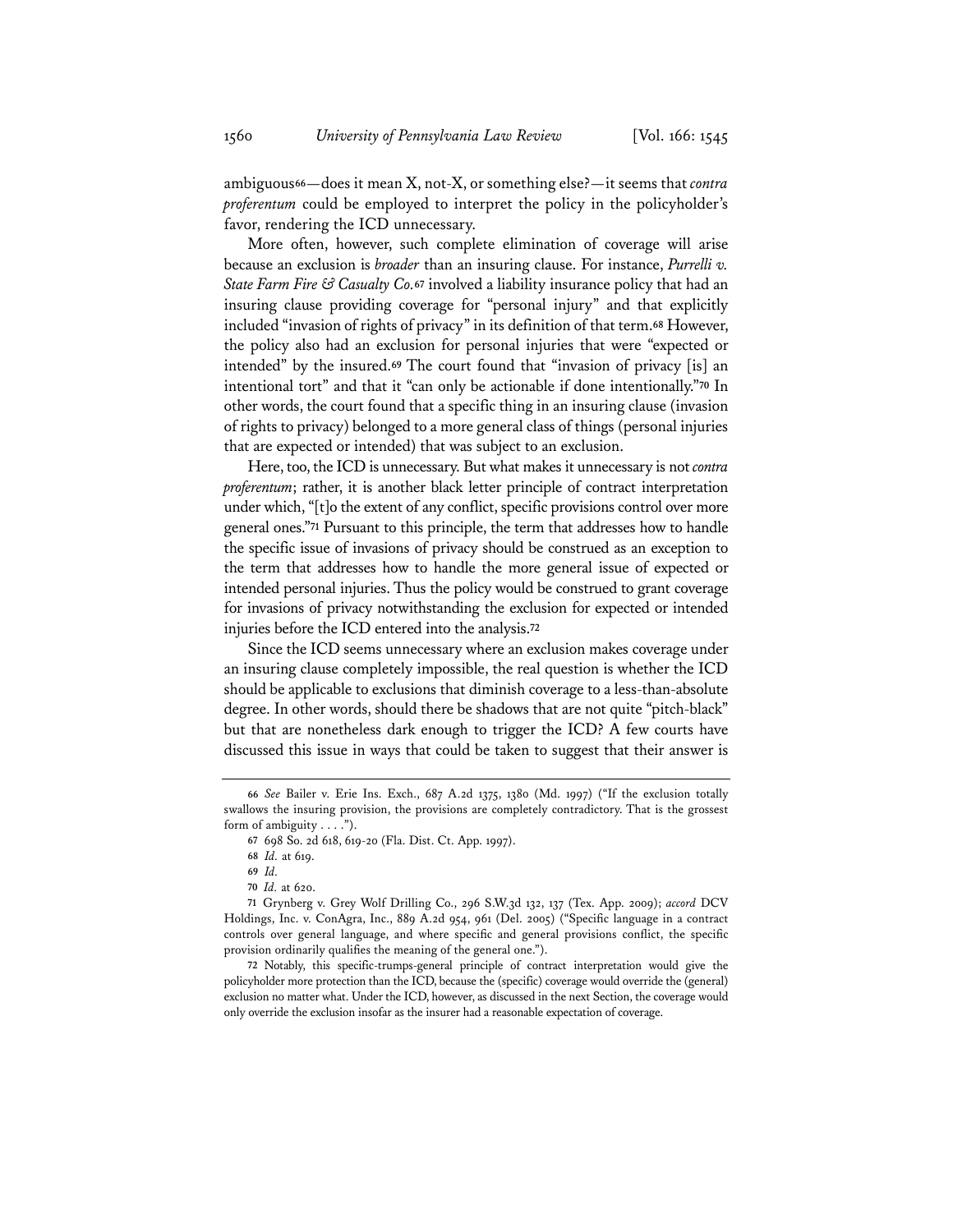ambiguous**<sup>66</sup>**—does it mean X, not-X, or something else?—it seems that *contra proferentum* could be employed to interpret the policy in the policyholder's favor, rendering the ICD unnecessary.

More often, however, such complete elimination of coverage will arise because an exclusion is *broader* than an insuring clause. For instance, *Purrelli v. State Farm Fire & Casualty Co.***<sup>67</sup>** involved a liability insurance policy that had an insuring clause providing coverage for "personal injury" and that explicitly included "invasion of rights of privacy" in its definition of that term.**<sup>68</sup>** However, the policy also had an exclusion for personal injuries that were "expected or intended" by the insured.**<sup>69</sup>** The court found that "invasion of privacy [is] an intentional tort" and that it "can only be actionable if done intentionally."**<sup>70</sup>** In other words, the court found that a specific thing in an insuring clause (invasion of rights to privacy) belonged to a more general class of things (personal injuries that are expected or intended) that was subject to an exclusion.

Here, too, the ICD is unnecessary. But what makes it unnecessary is not *contra proferentum*; rather, it is another black letter principle of contract interpretation under which, "[t]o the extent of any conflict, specific provisions control over more general ones."**<sup>71</sup>** Pursuant to this principle, the term that addresses how to handle the specific issue of invasions of privacy should be construed as an exception to the term that addresses how to handle the more general issue of expected or intended personal injuries. Thus the policy would be construed to grant coverage for invasions of privacy notwithstanding the exclusion for expected or intended injuries before the ICD entered into the analysis.**<sup>72</sup>**

Since the ICD seems unnecessary where an exclusion makes coverage under an insuring clause completely impossible, the real question is whether the ICD should be applicable to exclusions that diminish coverage to a less-than-absolute degree. In other words, should there be shadows that are not quite "pitch-black" but that are nonetheless dark enough to trigger the ICD? A few courts have discussed this issue in ways that could be taken to suggest that their answer is

**<sup>66</sup>** *See* Bailer v. Erie Ins. Exch., 687 A.2d 1375, 1380 (Md. 1997) ("If the exclusion totally swallows the insuring provision, the provisions are completely contradictory. That is the grossest form of ambiguity . . . .").

**<sup>67</sup>** 698 So. 2d 618, 619-20 (Fla. Dist. Ct. App. 1997).

**<sup>68</sup>** *Id.* at 619.

**<sup>69</sup>** *Id.*

**<sup>70</sup>** *Id.* at 620.

**<sup>71</sup>** Grynberg v. Grey Wolf Drilling Co., 296 S.W.3d 132, 137 (Tex. App. 2009); *accord* DCV Holdings, Inc. v. ConAgra, Inc., 889 A.2d 954, 961 (Del. 2005) ("Specific language in a contract controls over general language, and where specific and general provisions conflict, the specific provision ordinarily qualifies the meaning of the general one.").

**<sup>72</sup>** Notably, this specific-trumps-general principle of contract interpretation would give the policyholder more protection than the ICD, because the (specific) coverage would override the (general) exclusion no matter what. Under the ICD, however, as discussed in the next Section, the coverage would only override the exclusion insofar as the insurer had a reasonable expectation of coverage.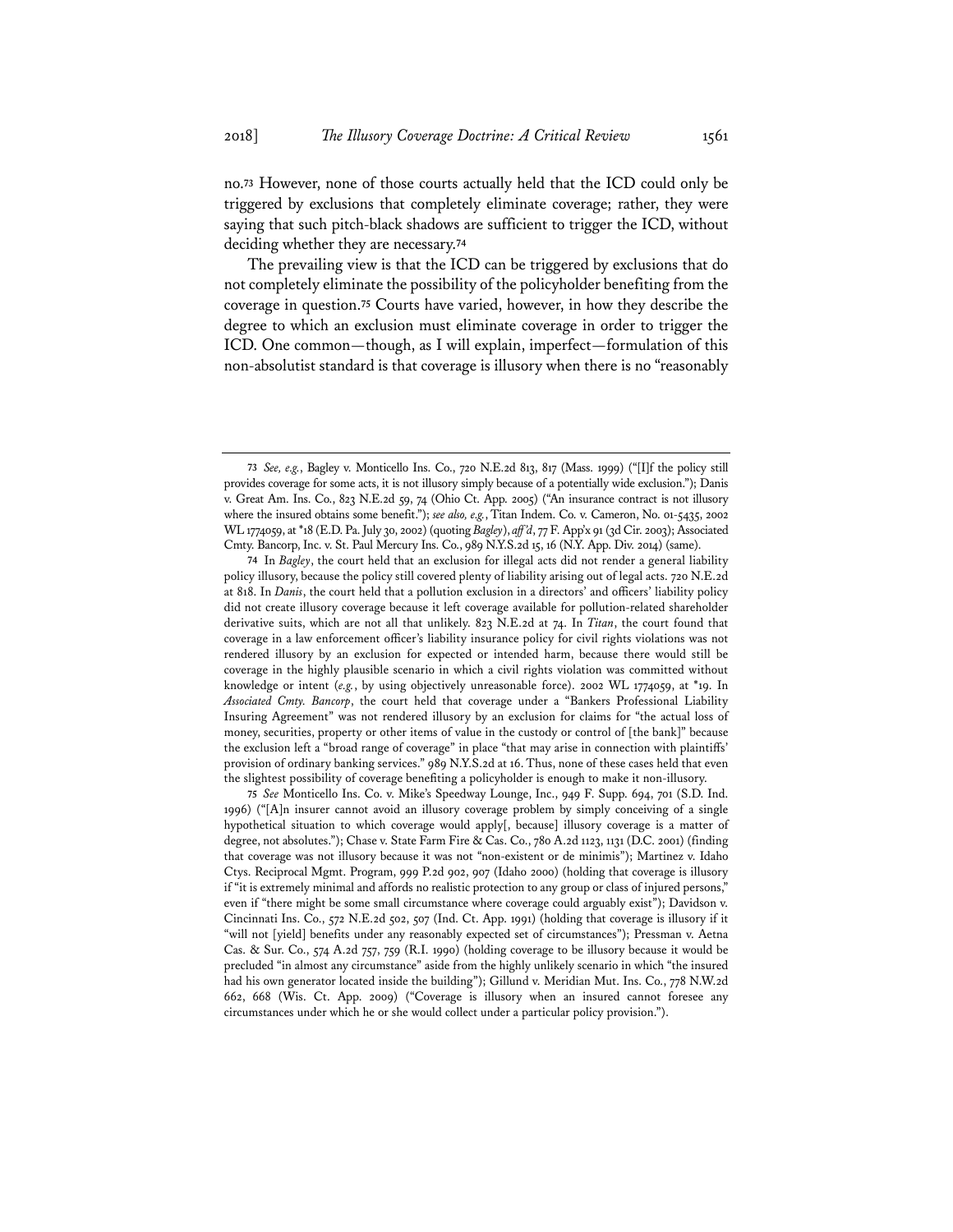no.**<sup>73</sup>** However, none of those courts actually held that the ICD could only be triggered by exclusions that completely eliminate coverage; rather, they were saying that such pitch-black shadows are sufficient to trigger the ICD, without deciding whether they are necessary.**<sup>74</sup>**

The prevailing view is that the ICD can be triggered by exclusions that do not completely eliminate the possibility of the policyholder benefiting from the coverage in question.**<sup>75</sup>** Courts have varied, however, in how they describe the degree to which an exclusion must eliminate coverage in order to trigger the ICD. One common—though, as I will explain, imperfect—formulation of this non-absolutist standard is that coverage is illusory when there is no "reasonably

**75** *See* Monticello Ins. Co. v. Mike's Speedway Lounge, Inc., 949 F. Supp. 694, 701 (S.D. Ind. 1996) ("[A]n insurer cannot avoid an illusory coverage problem by simply conceiving of a single hypothetical situation to which coverage would apply[, because] illusory coverage is a matter of degree, not absolutes."); Chase v. State Farm Fire & Cas. Co., 780 A.2d 1123, 1131 (D.C. 2001) (finding that coverage was not illusory because it was not "non-existent or de minimis"); Martinez v. Idaho Ctys. Reciprocal Mgmt. Program, 999 P.2d 902, 907 (Idaho 2000) (holding that coverage is illusory if "it is extremely minimal and affords no realistic protection to any group or class of injured persons," even if "there might be some small circumstance where coverage could arguably exist"); Davidson v. Cincinnati Ins. Co., 572 N.E.2d 502, 507 (Ind. Ct. App. 1991) (holding that coverage is illusory if it "will not [yield] benefits under any reasonably expected set of circumstances"); Pressman v. Aetna Cas. & Sur. Co., 574 A.2d 757, 759 (R.I. 1990) (holding coverage to be illusory because it would be precluded "in almost any circumstance" aside from the highly unlikely scenario in which "the insured had his own generator located inside the building"); Gillund v. Meridian Mut. Ins. Co., 778 N.W.2d 662, 668 (Wis. Ct. App. 2009) ("Coverage is illusory when an insured cannot foresee any circumstances under which he or she would collect under a particular policy provision.").

**<sup>73</sup>** *See, e.g.*, Bagley v. Monticello Ins. Co., 720 N.E.2d 813, 817 (Mass. 1999) ("[I]f the policy still provides coverage for some acts, it is not illusory simply because of a potentially wide exclusion."); Danis v. Great Am. Ins. Co., 823 N.E.2d 59, 74 (Ohio Ct. App. 2005) ("An insurance contract is not illusory where the insured obtains some benefit."); *see also, e.g.*, Titan Indem. Co. v. Cameron, No. 01-5435, 2002 WL 1774059, at \*18 (E.D. Pa. July 30, 2002) (quoting *Bagley*), *aff'd*, 77 F. App'x 91 (3d Cir. 2003); Associated Cmty. Bancorp, Inc. v. St. Paul Mercury Ins. Co., 989 N.Y.S.2d 15, 16 (N.Y. App. Div. 2014) (same).

**<sup>74</sup>** In *Bagley*, the court held that an exclusion for illegal acts did not render a general liability policy illusory, because the policy still covered plenty of liability arising out of legal acts. 720 N.E.2d at 818. In *Danis*, the court held that a pollution exclusion in a directors' and officers' liability policy did not create illusory coverage because it left coverage available for pollution-related shareholder derivative suits, which are not all that unlikely. 823 N.E.2d at 74. In *Titan*, the court found that coverage in a law enforcement officer's liability insurance policy for civil rights violations was not rendered illusory by an exclusion for expected or intended harm, because there would still be coverage in the highly plausible scenario in which a civil rights violation was committed without knowledge or intent (e.g., by using objectively unreasonable force). 2002 WL 1774059, at \*19. In *Associated Cmty. Bancorp*, the court held that coverage under a "Bankers Professional Liability Insuring Agreement" was not rendered illusory by an exclusion for claims for "the actual loss of money, securities, property or other items of value in the custody or control of [the bank]" because the exclusion left a "broad range of coverage" in place "that may arise in connection with plaintiffs' provision of ordinary banking services." 989 N.Y.S.2d at 16. Thus, none of these cases held that even the slightest possibility of coverage benefiting a policyholder is enough to make it non-illusory.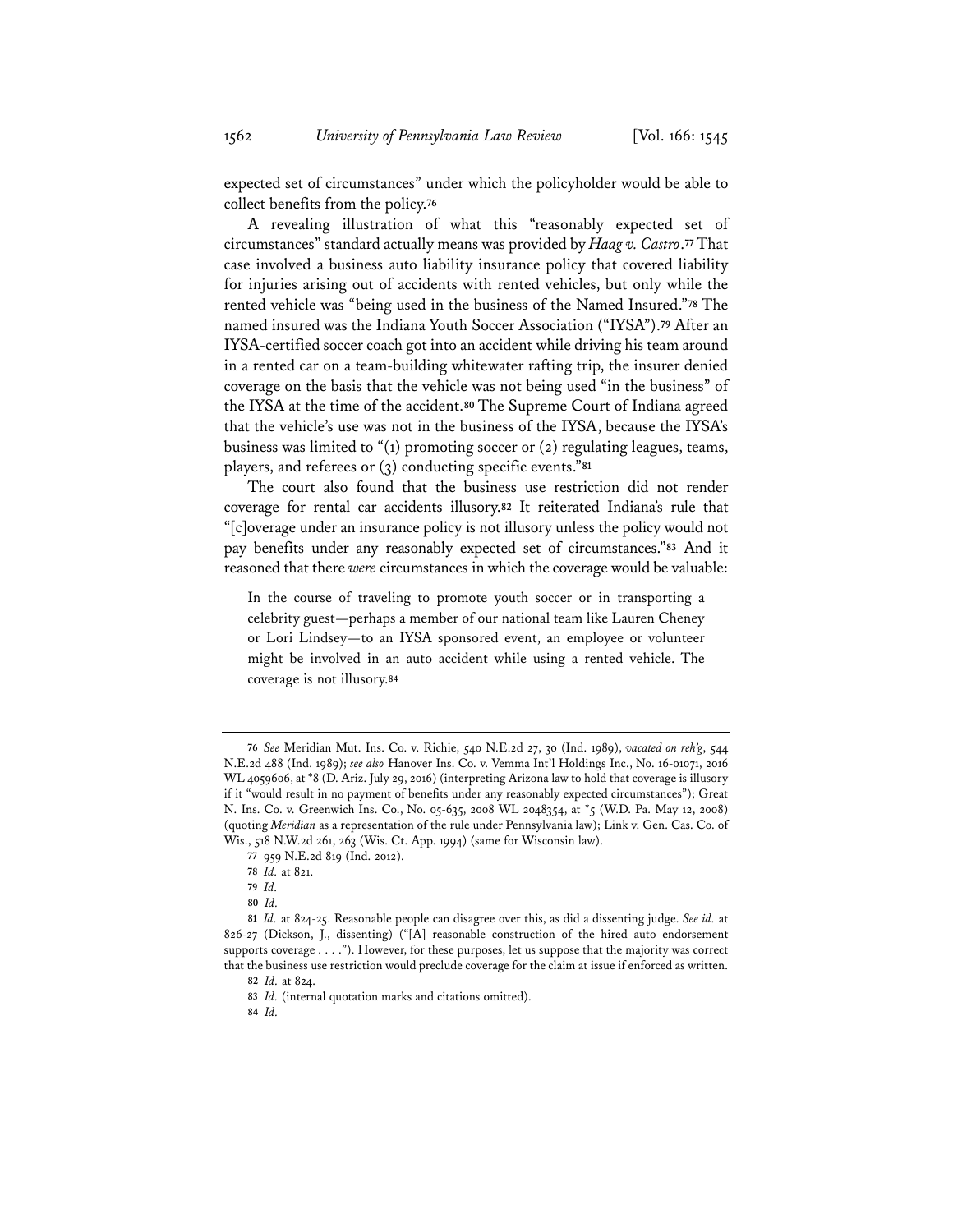expected set of circumstances" under which the policyholder would be able to collect benefits from the policy.**<sup>76</sup>**

A revealing illustration of what this "reasonably expected set of circumstances" standard actually means was provided by *Haag v. Castro*.**<sup>77</sup>** That case involved a business auto liability insurance policy that covered liability for injuries arising out of accidents with rented vehicles, but only while the rented vehicle was "being used in the business of the Named Insured."**<sup>78</sup>** The named insured was the Indiana Youth Soccer Association ("IYSA").**<sup>79</sup>** After an IYSA-certified soccer coach got into an accident while driving his team around in a rented car on a team-building whitewater rafting trip, the insurer denied coverage on the basis that the vehicle was not being used "in the business" of the IYSA at the time of the accident.**<sup>80</sup>** The Supreme Court of Indiana agreed that the vehicle's use was not in the business of the IYSA, because the IYSA's business was limited to " $(1)$  promoting soccer or  $(2)$  regulating leagues, teams, players, and referees or (3) conducting specific events."**<sup>81</sup>**

The court also found that the business use restriction did not render coverage for rental car accidents illusory.**<sup>82</sup>** It reiterated Indiana's rule that "[c]overage under an insurance policy is not illusory unless the policy would not pay benefits under any reasonably expected set of circumstances."**<sup>83</sup>** And it reasoned that there *were* circumstances in which the coverage would be valuable:

In the course of traveling to promote youth soccer or in transporting a celebrity guest—perhaps a member of our national team like Lauren Cheney or Lori Lindsey—to an IYSA sponsored event, an employee or volunteer might be involved in an auto accident while using a rented vehicle. The coverage is not illusory.**<sup>84</sup>**

**<sup>76</sup>** *See* Meridian Mut. Ins. Co. v. Richie, 540 N.E.2d 27, 30 (Ind. 1989), *vacated on reh'g*, 544 N.E.2d 488 (Ind. 1989); *see also* Hanover Ins. Co. v. Vemma Int'l Holdings Inc., No. 16-01071, 2016 WL 4059606, at \*8 (D. Ariz. July 29, 2016) (interpreting Arizona law to hold that coverage is illusory if it "would result in no payment of benefits under any reasonably expected circumstances"); Great N. Ins. Co. v. Greenwich Ins. Co., No. 05-635, 2008 WL 2048354, at \*5 (W.D. Pa. May 12, 2008) (quoting *Meridian* as a representation of the rule under Pennsylvania law); Link v. Gen. Cas. Co. of Wis., 518 N.W.2d 261, 263 (Wis. Ct. App. 1994) (same for Wisconsin law).

**<sup>77</sup>** 959 N.E.2d 819 (Ind. 2012).

**<sup>78</sup>** *Id.* at 821.

**<sup>79</sup>** *Id.*

**<sup>80</sup>** *Id.*

**<sup>81</sup>** *Id.* at 824-25. Reasonable people can disagree over this, as did a dissenting judge. *See id.* at 826-27 (Dickson, J., dissenting) ("[A] reasonable construction of the hired auto endorsement supports coverage . . . ."). However, for these purposes, let us suppose that the majority was correct that the business use restriction would preclude coverage for the claim at issue if enforced as written.

**<sup>82</sup>** *Id.* at 824.

**<sup>83</sup>** *Id.* (internal quotation marks and citations omitted).

**<sup>84</sup>** *Id.*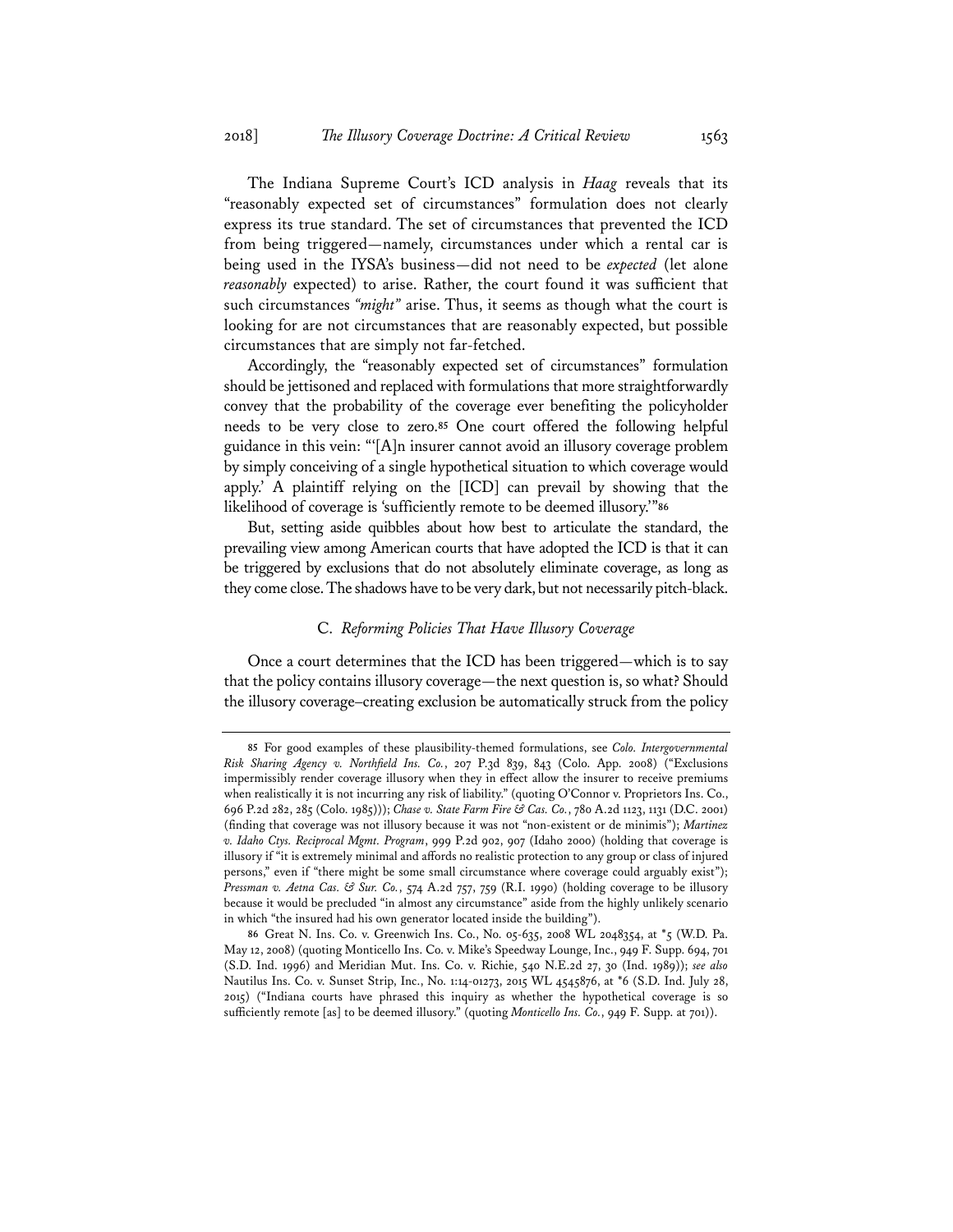The Indiana Supreme Court's ICD analysis in *Haag* reveals that its "reasonably expected set of circumstances" formulation does not clearly express its true standard. The set of circumstances that prevented the ICD from being triggered—namely, circumstances under which a rental car is being used in the IYSA's business—did not need to be *expected* (let alone *reasonably* expected) to arise. Rather, the court found it was sufficient that such circumstances *"might"* arise. Thus, it seems as though what the court is looking for are not circumstances that are reasonably expected, but possible circumstances that are simply not far-fetched.

Accordingly, the "reasonably expected set of circumstances" formulation should be jettisoned and replaced with formulations that more straightforwardly convey that the probability of the coverage ever benefiting the policyholder needs to be very close to zero.**<sup>85</sup>** One court offered the following helpful guidance in this vein: "'[A]n insurer cannot avoid an illusory coverage problem by simply conceiving of a single hypothetical situation to which coverage would apply.' A plaintiff relying on the [ICD] can prevail by showing that the likelihood of coverage is 'sufficiently remote to be deemed illusory.'"**<sup>86</sup>**

But, setting aside quibbles about how best to articulate the standard, the prevailing view among American courts that have adopted the ICD is that it can be triggered by exclusions that do not absolutely eliminate coverage, as long as they come close. The shadows have to be very dark, but not necessarily pitch-black.

### C. *Reforming Policies That Have Illusory Coverage*

Once a court determines that the ICD has been triggered—which is to say that the policy contains illusory coverage—the next question is, so what? Should the illusory coverage–creating exclusion be automatically struck from the policy

**<sup>85</sup>** For good examples of these plausibility-themed formulations, see *Colo. Intergovernmental Risk Sharing Agency v. Northfield Ins. Co.*, 207 P.3d 839, 843 (Colo. App. 2008) ("Exclusions impermissibly render coverage illusory when they in effect allow the insurer to receive premiums when realistically it is not incurring any risk of liability." (quoting O'Connor v. Proprietors Ins. Co., 696 P.2d 282, 285 (Colo. 1985))); *Chase v. State Farm Fire & Cas. Co.*, 780 A.2d 1123, 1131 (D.C. 2001) (finding that coverage was not illusory because it was not "non-existent or de minimis"); *Martinez v. Idaho Ctys. Reciprocal Mgmt. Program*, 999 P.2d 902, 907 (Idaho 2000) (holding that coverage is illusory if "it is extremely minimal and affords no realistic protection to any group or class of injured persons," even if "there might be some small circumstance where coverage could arguably exist"); *Pressman v. Aetna Cas. & Sur. Co.*, 574 A.2d 757, 759 (R.I. 1990) (holding coverage to be illusory because it would be precluded "in almost any circumstance" aside from the highly unlikely scenario in which "the insured had his own generator located inside the building").

**<sup>86</sup>** Great N. Ins. Co. v. Greenwich Ins. Co., No. 05-635, 2008 WL 2048354, at \*5 (W.D. Pa. May 12, 2008) (quoting Monticello Ins. Co. v. Mike's Speedway Lounge, Inc., 949 F. Supp. 694, 701 (S.D. Ind. 1996) and Meridian Mut. Ins. Co. v. Richie, 540 N.E.2d 27, 30 (Ind. 1989)); *see also* Nautilus Ins. Co. v. Sunset Strip, Inc., No. 1:14-01273, 2015 WL 4545876, at \*6 (S.D. Ind. July 28, 2015) ("Indiana courts have phrased this inquiry as whether the hypothetical coverage is so sufficiently remote [as] to be deemed illusory." (quoting *Monticello Ins. Co.*, 949 F. Supp. at 701)).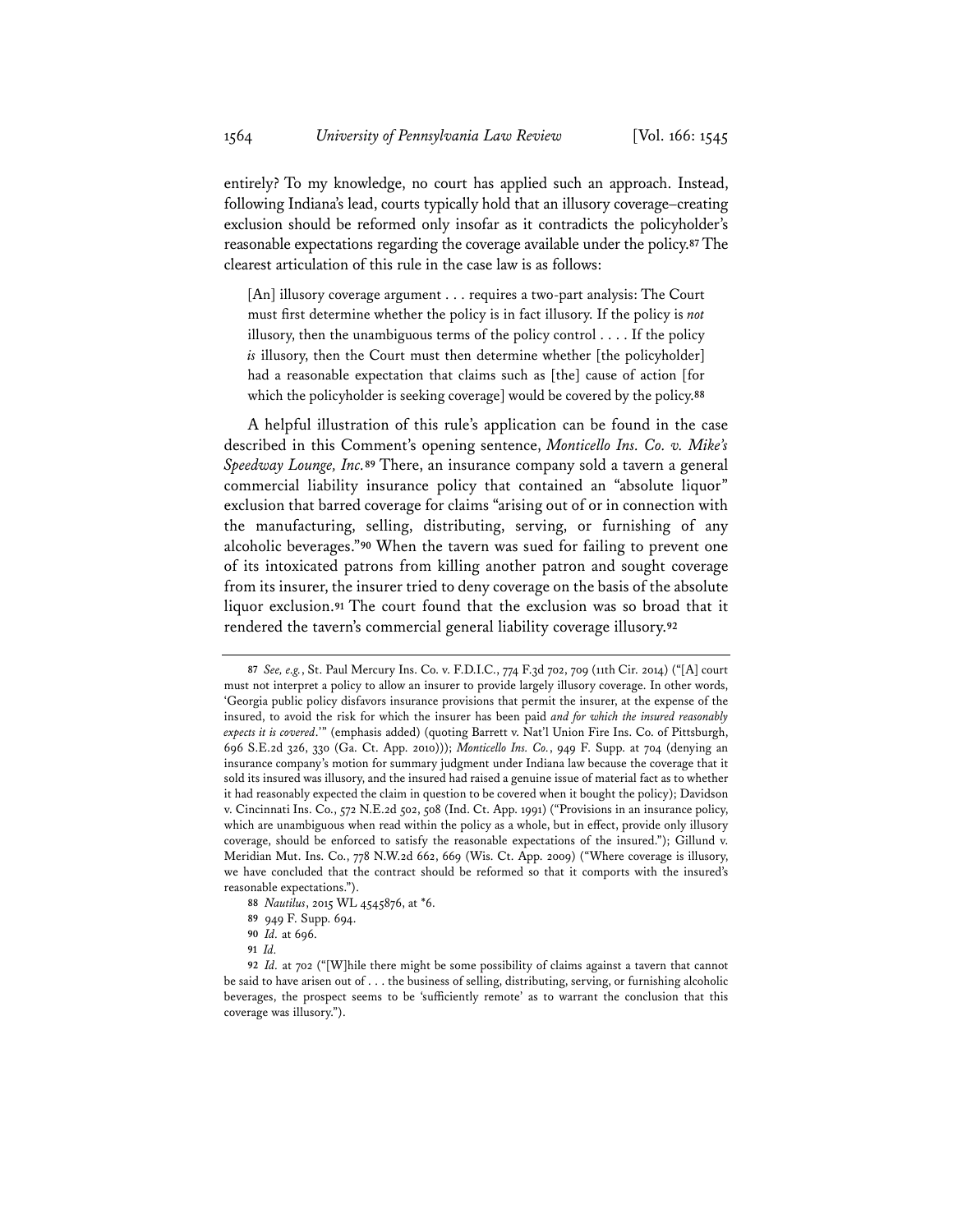entirely? To my knowledge, no court has applied such an approach. Instead, following Indiana's lead, courts typically hold that an illusory coverage–creating exclusion should be reformed only insofar as it contradicts the policyholder's reasonable expectations regarding the coverage available under the policy.**<sup>87</sup>** The clearest articulation of this rule in the case law is as follows:

[An] illusory coverage argument . . . requires a two-part analysis: The Court must first determine whether the policy is in fact illusory. If the policy is *not* illusory, then the unambiguous terms of the policy control . . . . If the policy *is* illusory, then the Court must then determine whether [the policyholder] had a reasonable expectation that claims such as [the] cause of action [for which the policyholder is seeking coverage] would be covered by the policy.**<sup>88</sup>**

A helpful illustration of this rule's application can be found in the case described in this Comment's opening sentence, *Monticello Ins. Co. v. Mike's Speedway Lounge, Inc.***<sup>89</sup>** There, an insurance company sold a tavern a general commercial liability insurance policy that contained an "absolute liquor" exclusion that barred coverage for claims "arising out of or in connection with the manufacturing, selling, distributing, serving, or furnishing of any alcoholic beverages."**<sup>90</sup>** When the tavern was sued for failing to prevent one of its intoxicated patrons from killing another patron and sought coverage from its insurer, the insurer tried to deny coverage on the basis of the absolute liquor exclusion.**<sup>91</sup>** The court found that the exclusion was so broad that it rendered the tavern's commercial general liability coverage illusory.**<sup>92</sup>**

- **88** *Nautilus*, 2015 WL 4545876, at \*6.
- **89** 949 F. Supp. 694.
- **90** *Id.* at 696.
- **91** *Id.*

**<sup>87</sup>** *See, e.g.*, St. Paul Mercury Ins. Co. v. F.D.I.C., 774 F.3d 702, 709 (11th Cir. 2014) ("[A] court must not interpret a policy to allow an insurer to provide largely illusory coverage. In other words, 'Georgia public policy disfavors insurance provisions that permit the insurer, at the expense of the insured, to avoid the risk for which the insurer has been paid *and for which the insured reasonably expects it is covered*.'" (emphasis added) (quoting Barrett v. Nat'l Union Fire Ins. Co. of Pittsburgh, 696 S.E.2d 326, 330 (Ga. Ct. App. 2010))); *Monticello Ins. Co.*, 949 F. Supp. at 704 (denying an insurance company's motion for summary judgment under Indiana law because the coverage that it sold its insured was illusory, and the insured had raised a genuine issue of material fact as to whether it had reasonably expected the claim in question to be covered when it bought the policy); Davidson v. Cincinnati Ins. Co., 572 N.E.2d 502, 508 (Ind. Ct. App. 1991) ("Provisions in an insurance policy, which are unambiguous when read within the policy as a whole, but in effect, provide only illusory coverage, should be enforced to satisfy the reasonable expectations of the insured."); Gillund v. Meridian Mut. Ins. Co., 778 N.W.2d 662, 669 (Wis. Ct. App. 2009) ("Where coverage is illusory, we have concluded that the contract should be reformed so that it comports with the insured's reasonable expectations.").

**<sup>92</sup>** *Id.* at 702 ("[W]hile there might be some possibility of claims against a tavern that cannot be said to have arisen out of . . . the business of selling, distributing, serving, or furnishing alcoholic beverages, the prospect seems to be 'sufficiently remote' as to warrant the conclusion that this coverage was illusory.").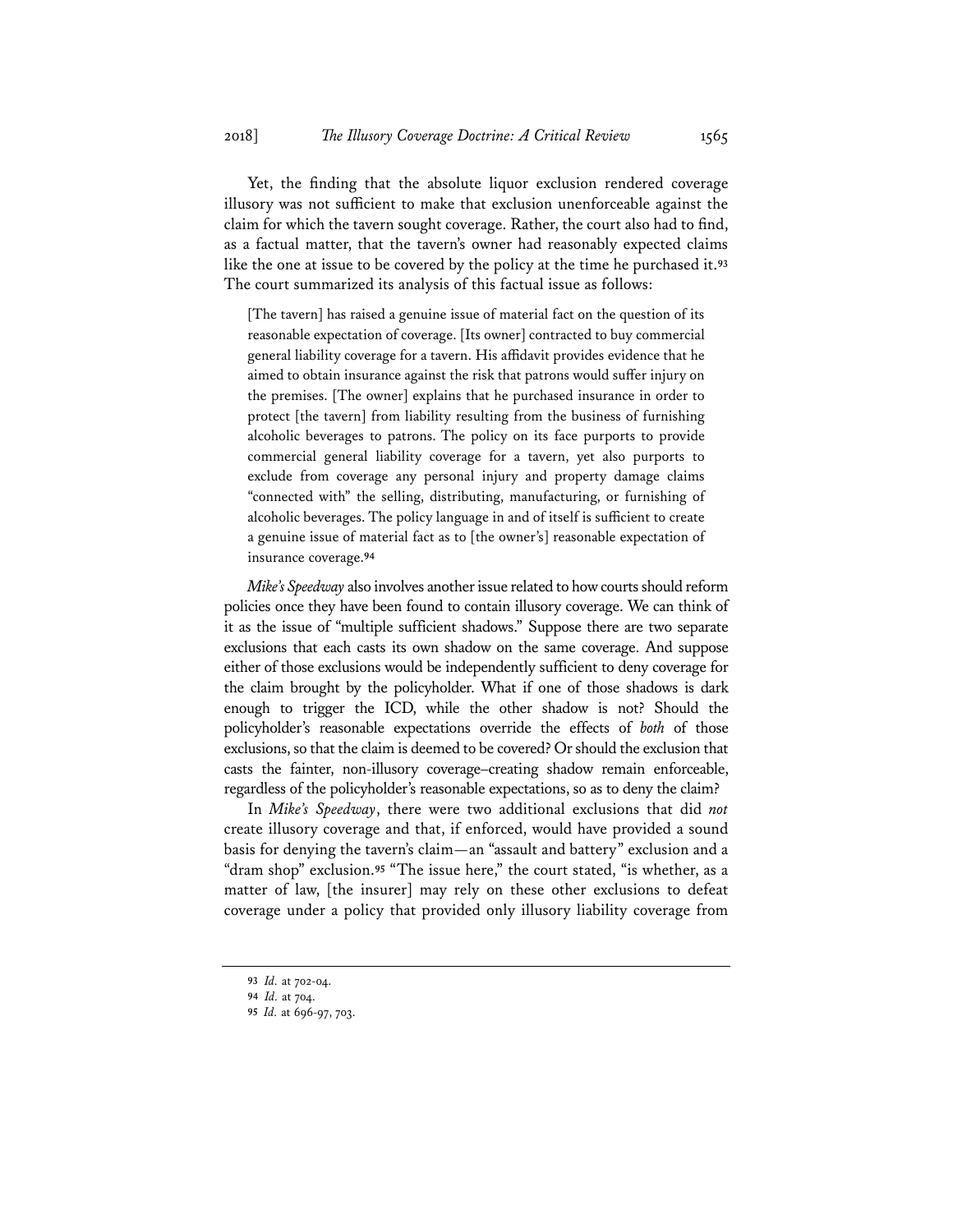Yet, the finding that the absolute liquor exclusion rendered coverage illusory was not sufficient to make that exclusion unenforceable against the claim for which the tavern sought coverage. Rather, the court also had to find, as a factual matter, that the tavern's owner had reasonably expected claims like the one at issue to be covered by the policy at the time he purchased it.**<sup>93</sup>** The court summarized its analysis of this factual issue as follows:

[The tavern] has raised a genuine issue of material fact on the question of its reasonable expectation of coverage. [Its owner] contracted to buy commercial general liability coverage for a tavern. His affidavit provides evidence that he aimed to obtain insurance against the risk that patrons would suffer injury on the premises. [The owner] explains that he purchased insurance in order to protect [the tavern] from liability resulting from the business of furnishing alcoholic beverages to patrons. The policy on its face purports to provide commercial general liability coverage for a tavern, yet also purports to exclude from coverage any personal injury and property damage claims "connected with" the selling, distributing, manufacturing, or furnishing of alcoholic beverages. The policy language in and of itself is sufficient to create a genuine issue of material fact as to [the owner's] reasonable expectation of insurance coverage.**<sup>94</sup>**

*Mike's Speedway* also involves another issue related to how courts should reform policies once they have been found to contain illusory coverage. We can think of it as the issue of "multiple sufficient shadows." Suppose there are two separate exclusions that each casts its own shadow on the same coverage. And suppose either of those exclusions would be independently sufficient to deny coverage for the claim brought by the policyholder. What if one of those shadows is dark enough to trigger the ICD, while the other shadow is not? Should the policyholder's reasonable expectations override the effects of *both* of those exclusions, so that the claim is deemed to be covered? Or should the exclusion that casts the fainter, non-illusory coverage–creating shadow remain enforceable, regardless of the policyholder's reasonable expectations, so as to deny the claim?

In *Mike's Speedway*, there were two additional exclusions that did *not* create illusory coverage and that, if enforced, would have provided a sound basis for denying the tavern's claim—an "assault and battery" exclusion and a "dram shop" exclusion.**<sup>95</sup>** "The issue here," the court stated, "is whether, as a matter of law, [the insurer] may rely on these other exclusions to defeat coverage under a policy that provided only illusory liability coverage from

**<sup>93</sup>** *Id.* at 702-04.

**<sup>94</sup>** *Id.* at 704.

**<sup>95</sup>** *Id.* at 696-97, 703.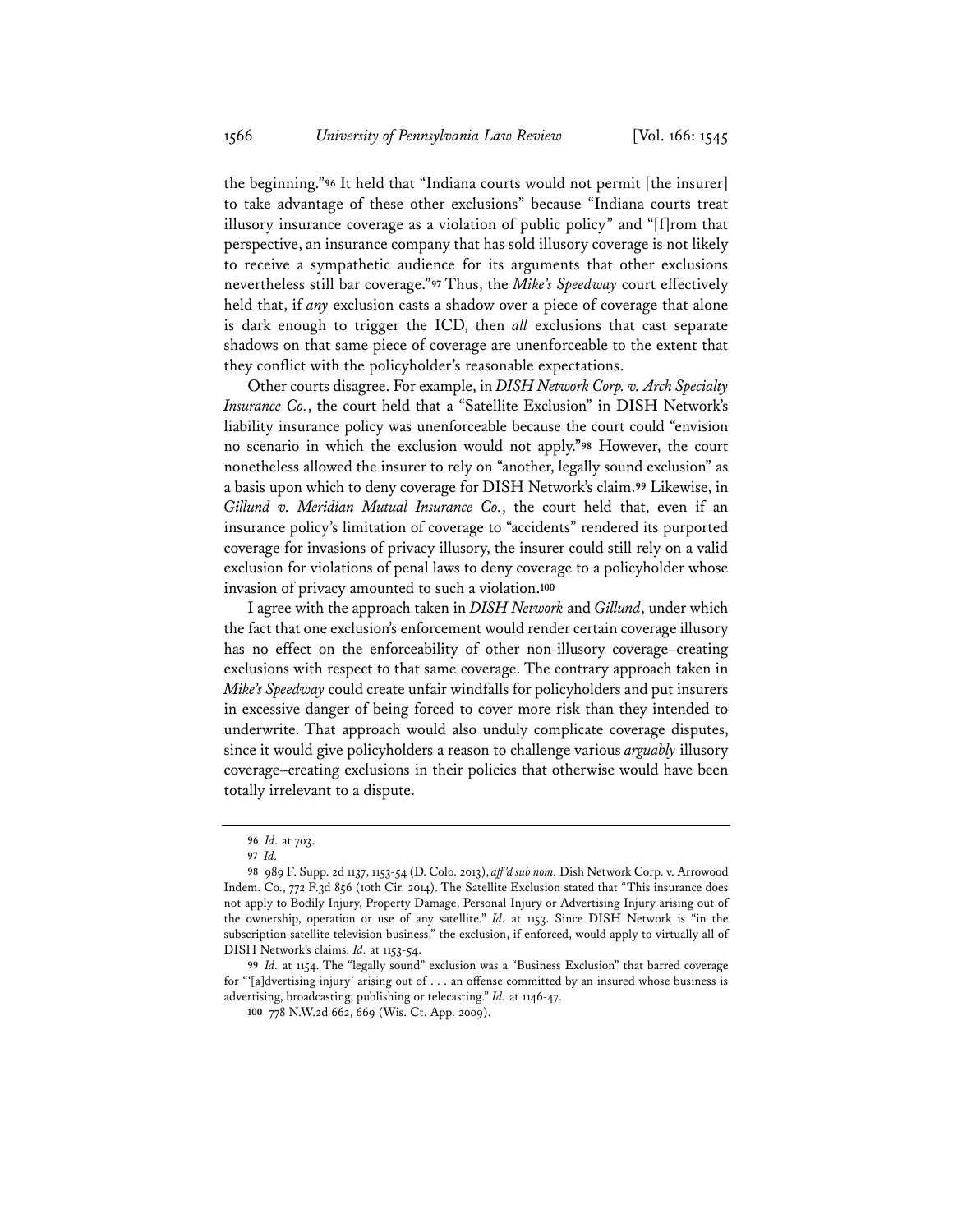the beginning."**<sup>96</sup>** It held that "Indiana courts would not permit [the insurer] to take advantage of these other exclusions" because "Indiana courts treat illusory insurance coverage as a violation of public policy" and "[f]rom that perspective, an insurance company that has sold illusory coverage is not likely to receive a sympathetic audience for its arguments that other exclusions nevertheless still bar coverage."**<sup>97</sup>** Thus, the *Mike's Speedway* court effectively held that, if *any* exclusion casts a shadow over a piece of coverage that alone is dark enough to trigger the ICD, then *all* exclusions that cast separate shadows on that same piece of coverage are unenforceable to the extent that they conflict with the policyholder's reasonable expectations.

Other courts disagree. For example, in *DISH Network Corp. v. Arch Specialty Insurance Co.*, the court held that a "Satellite Exclusion" in DISH Network's liability insurance policy was unenforceable because the court could "envision no scenario in which the exclusion would not apply."**<sup>98</sup>** However, the court nonetheless allowed the insurer to rely on "another, legally sound exclusion" as a basis upon which to deny coverage for DISH Network's claim.**<sup>99</sup>** Likewise, in *Gillund v. Meridian Mutual Insurance Co.*, the court held that, even if an insurance policy's limitation of coverage to "accidents" rendered its purported coverage for invasions of privacy illusory, the insurer could still rely on a valid exclusion for violations of penal laws to deny coverage to a policyholder whose invasion of privacy amounted to such a violation.**<sup>100</sup>**

I agree with the approach taken in *DISH Network* and *Gillund*, under which the fact that one exclusion's enforcement would render certain coverage illusory has no effect on the enforceability of other non-illusory coverage–creating exclusions with respect to that same coverage. The contrary approach taken in *Mike's Speedway* could create unfair windfalls for policyholders and put insurers in excessive danger of being forced to cover more risk than they intended to underwrite. That approach would also unduly complicate coverage disputes, since it would give policyholders a reason to challenge various *arguably* illusory coverage–creating exclusions in their policies that otherwise would have been totally irrelevant to a dispute.

**<sup>96</sup>** *Id.* at 703.

**<sup>97</sup>** *Id.*

**<sup>98</sup>** 989 F. Supp. 2d 1137, 1153-54 (D. Colo. 2013), *aff 'd sub nom.* Dish Network Corp. v. Arrowood Indem. Co., 772 F.3d 856 (10th Cir. 2014). The Satellite Exclusion stated that "This insurance does not apply to Bodily Injury, Property Damage, Personal Injury or Advertising Injury arising out of the ownership, operation or use of any satellite." *Id.* at 1153. Since DISH Network is "in the subscription satellite television business," the exclusion, if enforced, would apply to virtually all of DISH Network's claims. *Id.* at 1153-54.

**<sup>99</sup>** *Id.* at 1154. The "legally sound" exclusion was a "Business Exclusion" that barred coverage for "'[a]dvertising injury' arising out of . . . an offense committed by an insured whose business is advertising, broadcasting, publishing or telecasting." *Id.* at 1146-47.

**<sup>100</sup>** 778 N.W.2d 662, 669 (Wis. Ct. App. 2009).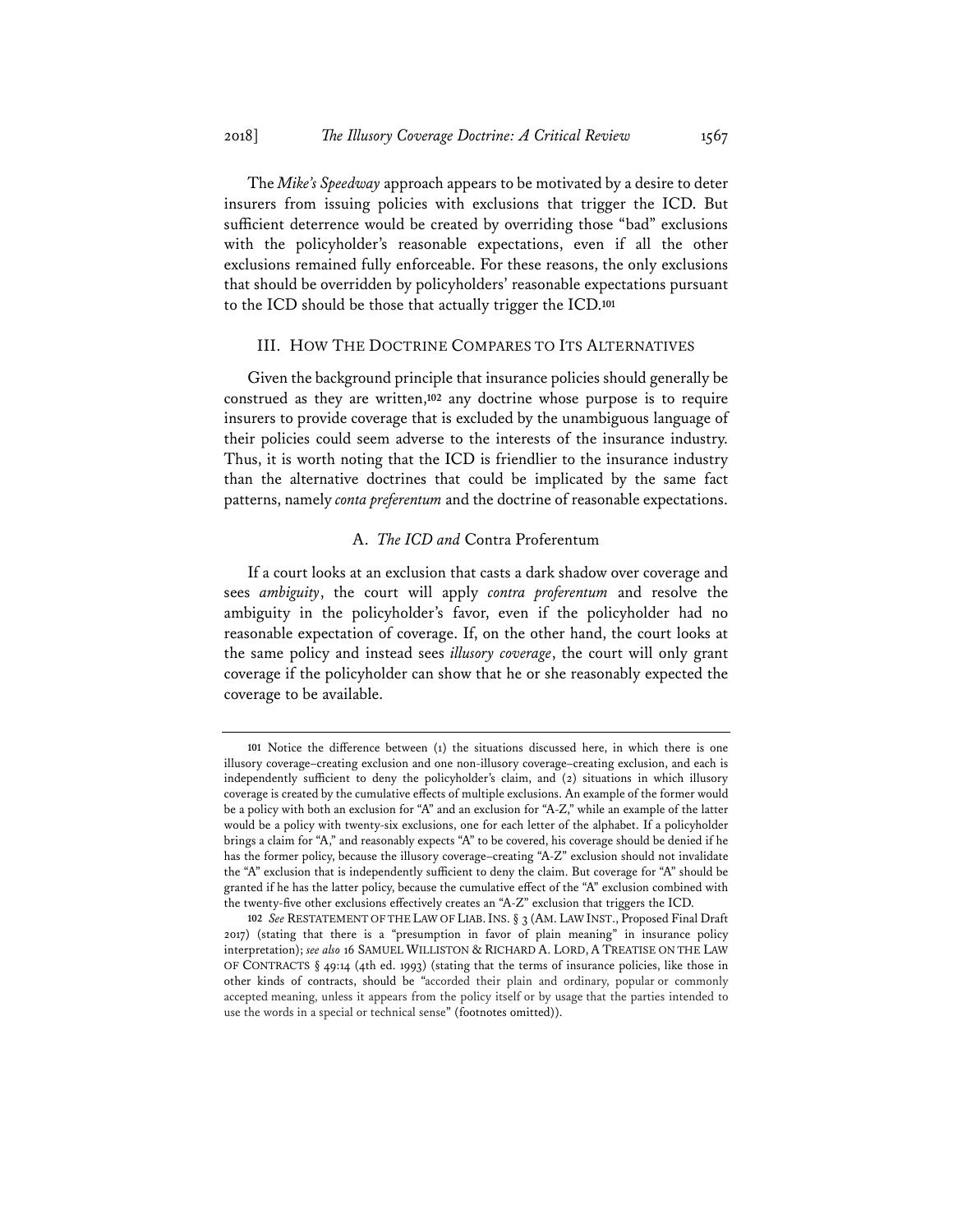The *Mike's Speedway* approach appears to be motivated by a desire to deter insurers from issuing policies with exclusions that trigger the ICD. But sufficient deterrence would be created by overriding those "bad" exclusions with the policyholder's reasonable expectations, even if all the other exclusions remained fully enforceable. For these reasons, the only exclusions that should be overridden by policyholders' reasonable expectations pursuant to the ICD should be those that actually trigger the ICD.**<sup>101</sup>**

# III. HOW THE DOCTRINE COMPARES TO ITS ALTERNATIVES

Given the background principle that insurance policies should generally be construed as they are written,**<sup>102</sup>** any doctrine whose purpose is to require insurers to provide coverage that is excluded by the unambiguous language of their policies could seem adverse to the interests of the insurance industry. Thus, it is worth noting that the ICD is friendlier to the insurance industry than the alternative doctrines that could be implicated by the same fact patterns, namely *conta preferentum* and the doctrine of reasonable expectations.

# A. *The ICD and* Contra Proferentum

If a court looks at an exclusion that casts a dark shadow over coverage and sees *ambiguity*, the court will apply *contra proferentum* and resolve the ambiguity in the policyholder's favor, even if the policyholder had no reasonable expectation of coverage. If, on the other hand, the court looks at the same policy and instead sees *illusory coverage*, the court will only grant coverage if the policyholder can show that he or she reasonably expected the coverage to be available.

**<sup>101</sup>** Notice the difference between (1) the situations discussed here, in which there is one illusory coverage–creating exclusion and one non-illusory coverage–creating exclusion, and each is independently sufficient to deny the policyholder's claim, and (2) situations in which illusory coverage is created by the cumulative effects of multiple exclusions. An example of the former would be a policy with both an exclusion for "A" and an exclusion for "A-Z," while an example of the latter would be a policy with twenty-six exclusions, one for each letter of the alphabet. If a policyholder brings a claim for "A," and reasonably expects "A" to be covered, his coverage should be denied if he has the former policy, because the illusory coverage–creating "A-Z" exclusion should not invalidate the "A" exclusion that is independently sufficient to deny the claim. But coverage for "A" should be granted if he has the latter policy, because the cumulative effect of the "A" exclusion combined with the twenty-five other exclusions effectively creates an "A-Z" exclusion that triggers the ICD.

**<sup>102</sup>** *See* RESTATEMENT OF THE LAW OF LIAB.INS. § 3 (AM. LAW INST., Proposed Final Draft 2017) (stating that there is a "presumption in favor of plain meaning" in insurance policy interpretation); *see also* 16 SAMUEL WILLISTON & RICHARD A. LORD, A TREATISE ON THE LAW OF CONTRACTS § 49:14 (4th ed. 1993) (stating that the terms of insurance policies, like those in other kinds of contracts, should be "accorded their plain and ordinary, popular or commonly accepted meaning, unless it appears from the policy itself or by usage that the parties intended to use the words in a special or technical sense" (footnotes omitted)).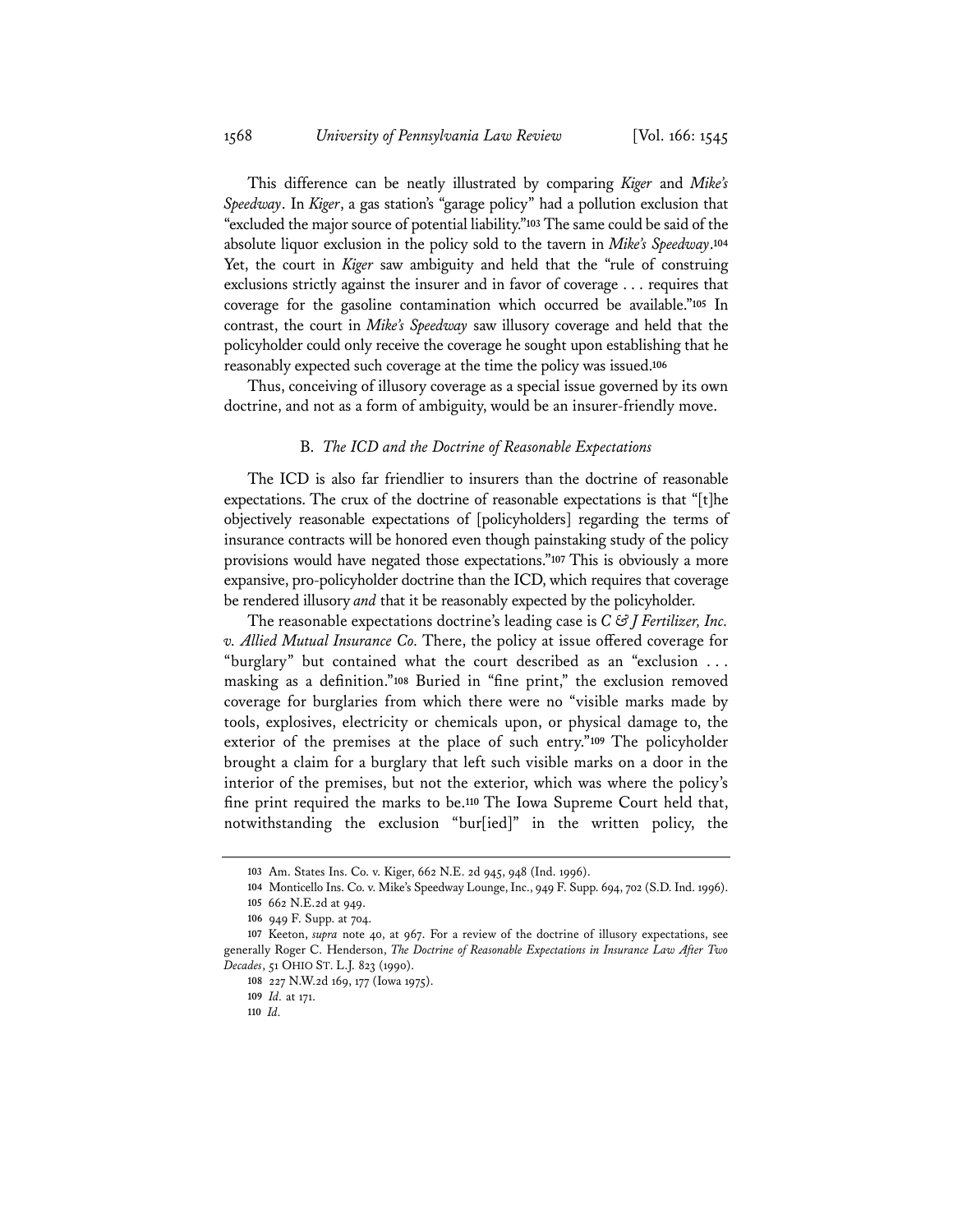This difference can be neatly illustrated by comparing *Kiger* and *Mike's Speedway*. In *Kiger*, a gas station's "garage policy" had a pollution exclusion that "excluded the major source of potential liability."**<sup>103</sup>** The same could be said of the absolute liquor exclusion in the policy sold to the tavern in *Mike's Speedway*.**<sup>104</sup>** Yet, the court in *Kiger* saw ambiguity and held that the "rule of construing exclusions strictly against the insurer and in favor of coverage . . . requires that coverage for the gasoline contamination which occurred be available."**<sup>105</sup>** In contrast, the court in *Mike's Speedway* saw illusory coverage and held that the policyholder could only receive the coverage he sought upon establishing that he reasonably expected such coverage at the time the policy was issued.**<sup>106</sup>**

Thus, conceiving of illusory coverage as a special issue governed by its own doctrine, and not as a form of ambiguity, would be an insurer-friendly move.

#### B. *The ICD and the Doctrine of Reasonable Expectations*

The ICD is also far friendlier to insurers than the doctrine of reasonable expectations. The crux of the doctrine of reasonable expectations is that "[t]he objectively reasonable expectations of [policyholders] regarding the terms of insurance contracts will be honored even though painstaking study of the policy provisions would have negated those expectations."**<sup>107</sup>** This is obviously a more expansive, pro-policyholder doctrine than the ICD, which requires that coverage be rendered illusory *and* that it be reasonably expected by the policyholder.

The reasonable expectations doctrine's leading case is *C & J Fertilizer, Inc. v. Allied Mutual Insurance Co.* There, the policy at issue offered coverage for "burglary" but contained what the court described as an "exclusion . . . masking as a definition."**<sup>108</sup>** Buried in "fine print," the exclusion removed coverage for burglaries from which there were no "visible marks made by tools, explosives, electricity or chemicals upon, or physical damage to, the exterior of the premises at the place of such entry."**<sup>109</sup>** The policyholder brought a claim for a burglary that left such visible marks on a door in the interior of the premises, but not the exterior, which was where the policy's fine print required the marks to be.**<sup>110</sup>** The Iowa Supreme Court held that, notwithstanding the exclusion "bur[ied]" in the written policy, the

**<sup>103</sup>** Am. States Ins. Co. v. Kiger, 662 N.E. 2d 945, 948 (Ind. 1996).

**<sup>104</sup>** Monticello Ins. Co. v. Mike's Speedway Lounge, Inc., 949 F. Supp. 694, 702 (S.D. Ind. 1996). **105** 662 N.E.2d at 949.

**<sup>106</sup>** 949 F. Supp. at 704.

**<sup>107</sup>** Keeton, *supra* note 40, at 967. For a review of the doctrine of illusory expectations, see generally Roger C. Henderson, *The Doctrine of Reasonable Expectations in Insurance Law After Two Decades*, 51 OHIO ST. L.J. 823 (1990).

**<sup>108</sup>** 227 N.W.2d 169, 177 (Iowa 1975).

**<sup>109</sup>** *Id.* at 171.

**<sup>110</sup>** *Id.*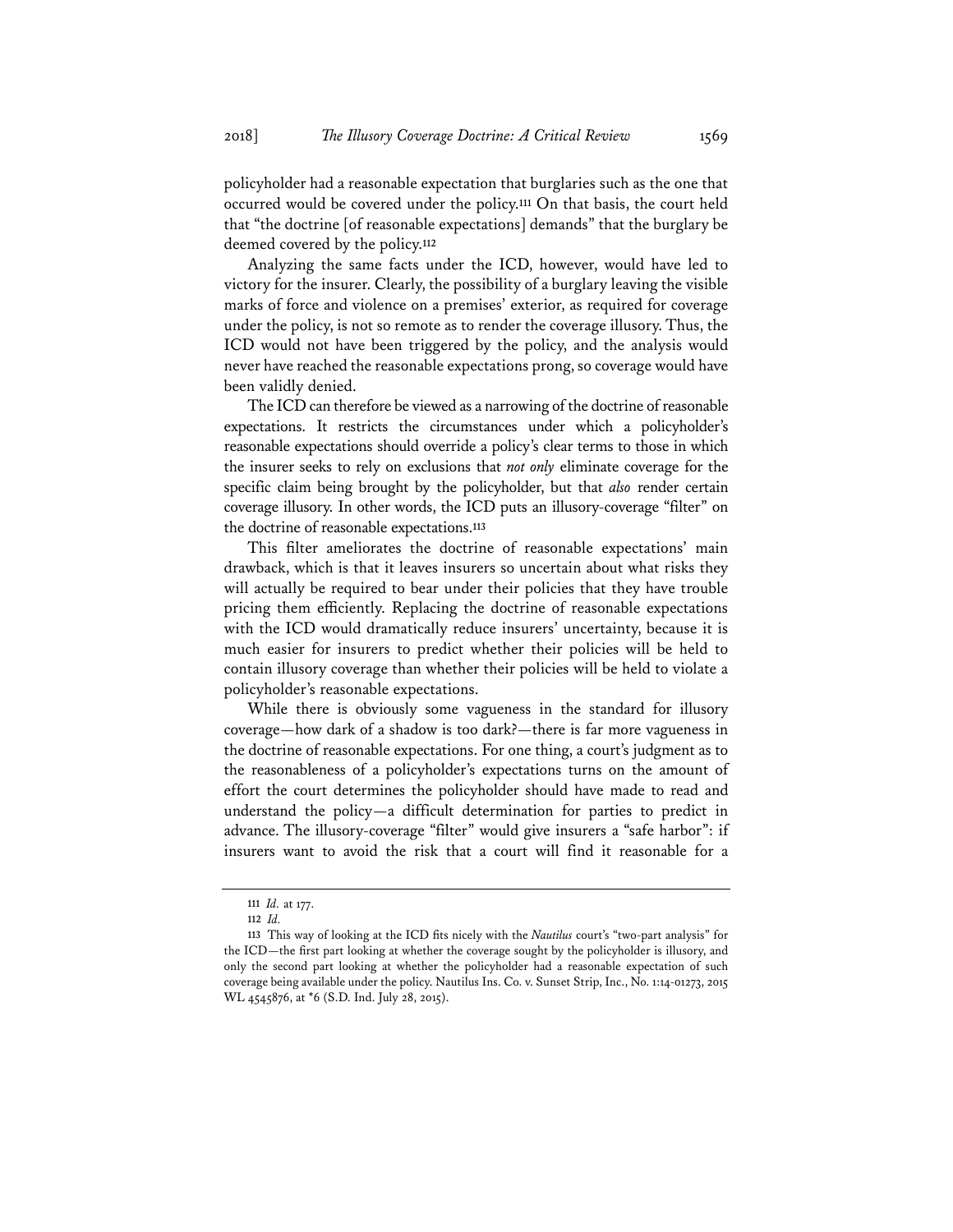policyholder had a reasonable expectation that burglaries such as the one that occurred would be covered under the policy.**<sup>111</sup>** On that basis, the court held that "the doctrine [of reasonable expectations] demands" that the burglary be deemed covered by the policy.**<sup>112</sup>**

Analyzing the same facts under the ICD, however, would have led to victory for the insurer. Clearly, the possibility of a burglary leaving the visible marks of force and violence on a premises' exterior, as required for coverage under the policy, is not so remote as to render the coverage illusory. Thus, the ICD would not have been triggered by the policy, and the analysis would never have reached the reasonable expectations prong, so coverage would have been validly denied.

The ICD can therefore be viewed as a narrowing of the doctrine of reasonable expectations. It restricts the circumstances under which a policyholder's reasonable expectations should override a policy's clear terms to those in which the insurer seeks to rely on exclusions that *not only* eliminate coverage for the specific claim being brought by the policyholder, but that *also* render certain coverage illusory. In other words, the ICD puts an illusory-coverage "filter" on the doctrine of reasonable expectations.**<sup>113</sup>**

This filter ameliorates the doctrine of reasonable expectations' main drawback, which is that it leaves insurers so uncertain about what risks they will actually be required to bear under their policies that they have trouble pricing them efficiently. Replacing the doctrine of reasonable expectations with the ICD would dramatically reduce insurers' uncertainty, because it is much easier for insurers to predict whether their policies will be held to contain illusory coverage than whether their policies will be held to violate a policyholder's reasonable expectations.

While there is obviously some vagueness in the standard for illusory coverage—how dark of a shadow is too dark?—there is far more vagueness in the doctrine of reasonable expectations. For one thing, a court's judgment as to the reasonableness of a policyholder's expectations turns on the amount of effort the court determines the policyholder should have made to read and understand the policy—a difficult determination for parties to predict in advance. The illusory-coverage "filter" would give insurers a "safe harbor": if insurers want to avoid the risk that a court will find it reasonable for a

**<sup>111</sup>** *Id.* at 177.

**<sup>112</sup>** *Id.*

**<sup>113</sup>** This way of looking at the ICD fits nicely with the *Nautilus* court's "two-part analysis" for the ICD—the first part looking at whether the coverage sought by the policyholder is illusory, and only the second part looking at whether the policyholder had a reasonable expectation of such coverage being available under the policy. Nautilus Ins. Co. v. Sunset Strip, Inc., No. 1:14-01273, 2015 WL 4545876, at \*6 (S.D. Ind. July 28, 2015).